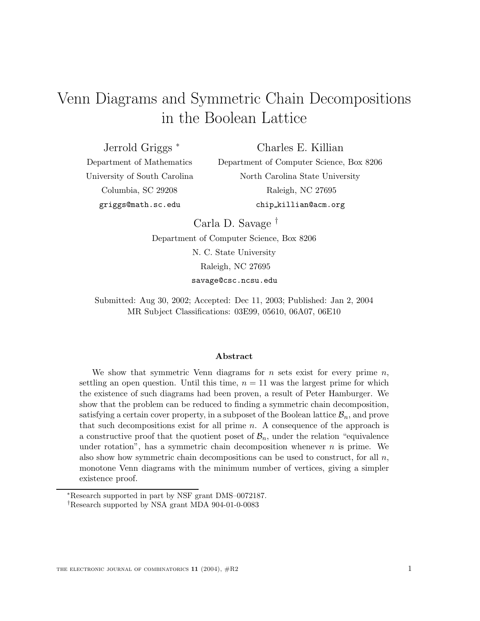# Venn Diagrams and Symmetric Chain Decompositions in the Boolean Lattice

Jerrold Griggs <sup>∗</sup>

Charles E. Killian

Department of Mathematics University of South Carolina Columbia, SC 29208 griggs@math.sc.edu

Department of Computer Science, Box 8206 North Carolina State University Raleigh, NC 27695 chip killian@acm.org

Carla D. Savage †

Department of Computer Science, Box 8206

N. C. State University

Raleigh, NC 27695

savage@csc.ncsu.edu

Submitted: Aug 30, 2002; Accepted: Dec 11, 2003; Published: Jan 2, 2004 MR Subject Classifications: 03E99, 05610, 06A07, 06E10

#### **Abstract**

We show that symmetric Venn diagrams for n sets exist for every prime  $n$ , settling an open question. Until this time,  $n = 11$  was the largest prime for which the existence of such diagrams had been proven, a result of Peter Hamburger. We show that the problem can be reduced to finding a symmetric chain decomposition, satisfying a certain cover property, in a subposet of the Boolean lattice  $\mathcal{B}_n$ , and prove that such decompositions exist for all prime  $n$ . A consequence of the approach is a constructive proof that the quotient poset of  $\mathcal{B}_n$ , under the relation "equivalence under rotation", has a symmetric chain decomposition whenever  $n$  is prime. We also show how symmetric chain decompositions can be used to construct, for all  $n$ , monotone Venn diagrams with the minimum number of vertices, giving a simpler existence proof.

<sup>∗</sup>Research supported in part by NSF grant DMS–0072187.

<sup>†</sup>Research supported by NSA grant MDA 904-01-0-0083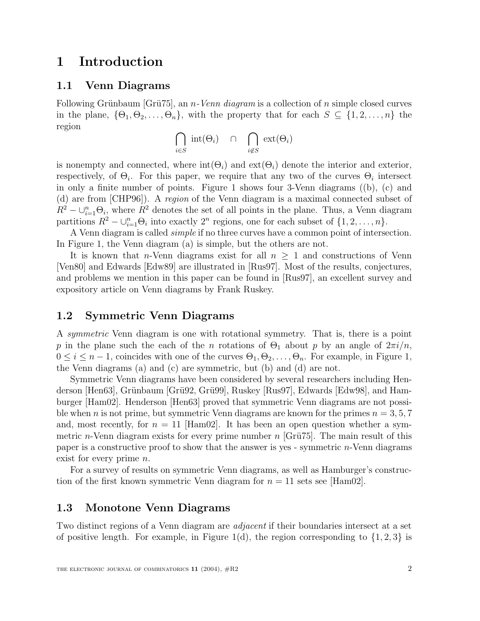## **1 Introduction**

#### **1.1 Venn Diagrams**

Following Grünbaum [Grü $75$ ], an *n*-Venn diagram is a collection of n simple closed curves in the plane,  $\{\Theta_1, \Theta_2, \ldots, \Theta_n\}$ , with the property that for each  $S \subseteq \{1, 2, \ldots, n\}$  the region

$$
\bigcap_{i \in S} \text{ int}(\Theta_i) \cap \bigcap_{i \notin S} \text{ ext}(\Theta_i)
$$

is nonempty and connected, where  $\text{int}(\Theta_i)$  and  $\text{ext}(\Theta_i)$  denote the interior and exterior, respectively, of  $\Theta_i$ . For this paper, we require that any two of the curves  $\Theta_i$  intersect in only a finite number of points. Figure 1 shows four 3-Venn diagrams ((b), (c) and (d) are from [CHP96]). A region of the Venn diagram is a maximal connected subset of  $R^2 - \bigcup_{i=1}^n \Theta_i$ , where  $R^2$  denotes the set of all points in the plane. Thus, a Venn diagram<br>partitions  $R^2 - \bigcup_{i=1}^n \Theta_i$  into exactly  $2^n$  regions, one for each subset of  $\{1, 2, \ldots, n\}$ partitions  $R^2 - \bigcup_{i=1}^n \Theta_i$  into exactly  $2^n$  regions, one for each subset of  $\{1, 2, ..., n\}$ .<br>A Venn diagram is called *simple* if no three curves have a common point of interse-

A Venn diagram is called simple if no three curves have a common point of intersection. In Figure 1, the Venn diagram (a) is simple, but the others are not.

It is known that *n*-Venn diagrams exist for all  $n > 1$  and constructions of Venn [Ven80] and Edwards [Edw89] are illustrated in [Rus97]. Most of the results, conjectures, and problems we mention in this paper can be found in [Rus97], an excellent survey and expository article on Venn diagrams by Frank Ruskey.

#### **1.2 Symmetric Venn Diagrams**

A symmetric Venn diagram is one with rotational symmetry. That is, there is a point p in the plane such the each of the n rotations of  $\Theta_1$  about p by an angle of  $2\pi i/n$ ,  $0 \leq i \leq n-1$ , coincides with one of the curves  $\Theta_1, \Theta_2, \ldots, \Theta_n$ . For example, in Figure 1, the Venn diagrams (a) and (c) are symmetric, but (b) and (d) are not.

Symmetric Venn diagrams have been considered by several researchers including Henderson [Hen63], Grünbaum [Grü92, Grü99], Ruskey [Rus97], Edwards [Edw98], and Hamburger [Ham02]. Henderson [Hen63] proved that symmetric Venn diagrams are not possible when n is not prime, but symmetric Venn diagrams are known for the primes  $n = 3, 5, 7$ and, most recently, for  $n = 11$  [Ham02]. It has been an open question whether a symmetric *n*-Venn diagram exists for every prime number  $n$  [Grü $75$ ]. The main result of this paper is a constructive proof to show that the answer is yes - symmetric n-Venn diagrams exist for every prime *n*.

For a survey of results on symmetric Venn diagrams, as well as Hamburger's construction of the first known symmetric Venn diagram for  $n = 11$  sets see [Ham02].

#### **1.3 Monotone Venn Diagrams**

Two distinct regions of a Venn diagram are adjacent if their boundaries intersect at a set of positive length. For example, in Figure 1(d), the region corresponding to  $\{1, 2, 3\}$  is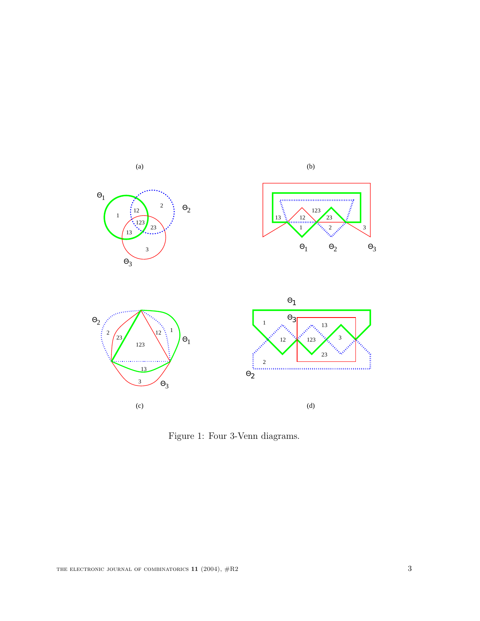

Figure 1: Four 3-Venn diagrams.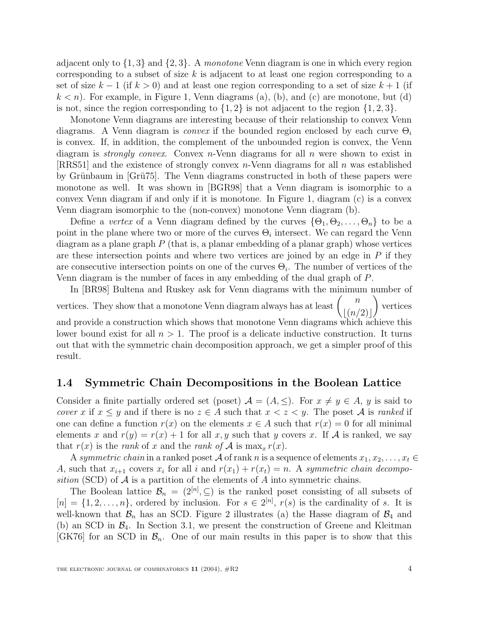adjacent only to  $\{1,3\}$  and  $\{2,3\}$ . A monotone Venn diagram is one in which every region corresponding to a subset of size  $k$  is adjacent to at least one region corresponding to a set of size  $k-1$  (if  $k > 0$ ) and at least one region corresponding to a set of size  $k+1$  (if  $k < n$ ). For example, in Figure 1, Venn diagrams (a), (b), and (c) are monotone, but (d) is not, since the region corresponding to  $\{1, 2\}$  is not adjacent to the region  $\{1, 2, 3\}$ .

Monotone Venn diagrams are interesting because of their relationship to convex Venn diagrams. A Venn diagram is convex if the bounded region enclosed by each curve  $\Theta_i$ is convex. If, in addition, the complement of the unbounded region is convex, the Venn diagram is *strongly convex.* Convex  $n$ -Venn diagrams for all  $n$  were shown to exist in [RRS51] and the existence of strongly convex  $n$ -Venn diagrams for all  $n$  was established by Grünbaum in [Grü75]. The Venn diagrams constructed in both of these papers were monotone as well. It was shown in [BGR98] that a Venn diagram is isomorphic to a convex Venn diagram if and only if it is monotone. In Figure 1, diagram (c) is a convex Venn diagram isomorphic to the (non-convex) monotone Venn diagram (b).

Define a vertex of a Venn diagram defined by the curves  $\{\Theta_1, \Theta_2, \ldots, \Theta_n\}$  to be a point in the plane where two or more of the curves  $\Theta_i$  intersect. We can regard the Venn diagram as a plane graph  $P$  (that is, a planar embedding of a planar graph) whose vertices are these intersection points and where two vertices are joined by an edge in  $P$  if they are consecutive intersection points on one of the curves  $\Theta_i$ . The number of vertices of the Venn diagram is the number of faces in any embedding of the dual graph of P.

In [BR98] Bultena and Ruskey ask for Venn diagrams with the minimum number of vertices. They show that a monotone Venn diagram always has at least  $\,$  $\lfloor (n/2) \rfloor$ <br>which ao vertices and provide a construction which shows that monotone Venn diagrams which achieve this lower bound exist for all  $n > 1$ . The proof is a delicate inductive construction. It turns out that with the symmetric chain decomposition approach, we get a simpler proof of this result.

#### **1.4 Symmetric Chain Decompositions in the Boolean Lattice**

Consider a finite partially ordered set (poset)  $A = (A, \leq)$ . For  $x \neq y \in A$ , y is said to *cover* x if  $x \leq y$  and if there is no  $z \in A$  such that  $x < z < y$ . The poset A is *ranked* if one can define a function  $r(x)$  on the elements  $x \in A$  such that  $r(x) = 0$  for all minimal elements x and  $r(y) = r(x) + 1$  for all x, y such that y covers x. If A is ranked, we say that  $r(x)$  is the rank of x and the rank of A is  $\max_x r(x)$ .

A symmetric chain in a ranked poset A of rank n is a sequence of elements  $x_1, x_2, \ldots, x_t \in$ A, such that  $x_{i+1}$  covers  $x_i$  for all i and  $r(x_1) + r(x_t) = n$ . A symmetric chain decomposition (SCD) of  $A$  is a partition of the elements of  $A$  into symmetric chains.

The Boolean lattice  $\mathcal{B}_n = (2^{[n]}, \subseteq)$  is the ranked poset consisting of all subsets of  $-11, 2, \ldots, n$  ordered by inclusion. For  $s \in 2^{[n]}$   $r(s)$  is the cardinality of s. It is  $[n] = \{1, 2, ..., n\}$ , ordered by inclusion. For  $s \in 2^{[n]}$ ,  $r(s)$  is the cardinality of s. It is well-known that  $\mathcal{B}$  has an SCD. Figure 2 illustrates (a) the Hasse diagram of  $\mathcal{B}$ , and well-known that  $\mathcal{B}_n$  has an SCD. Figure 2 illustrates (a) the Hasse diagram of  $\mathcal{B}_4$  and (b) an SCD in  $\mathcal{B}_4$ . In Section 3.1, we present the construction of Greene and Kleitman [GK76] for an SCD in  $\mathcal{B}_n$ . One of our main results in this paper is to show that this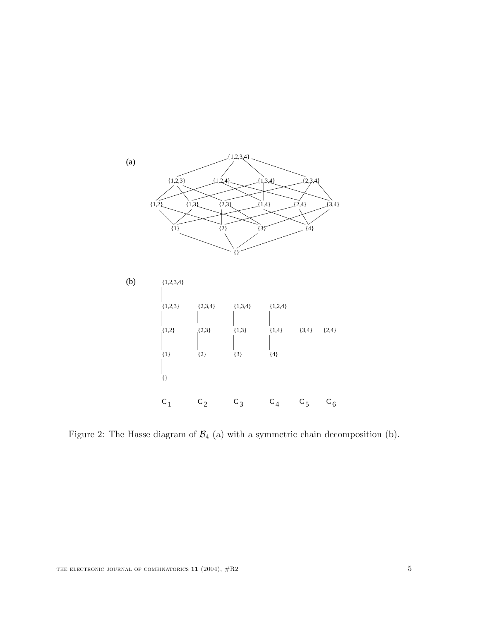

Figure 2: The Hasse diagram of  $\mathcal{B}_4$  (a) with a symmetric chain decomposition (b).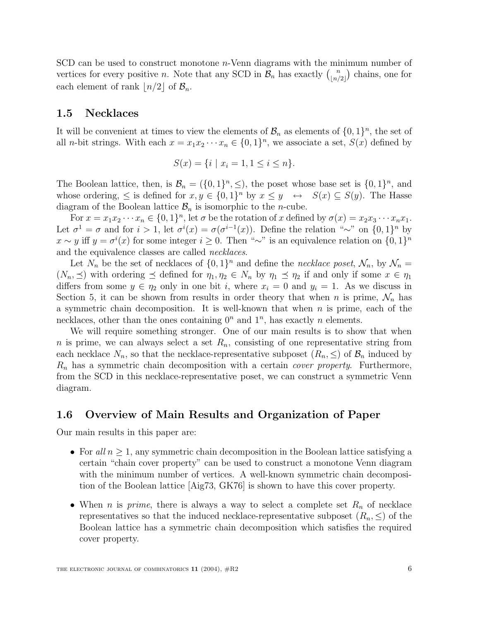SCD can be used to construct monotone  $n$ -Venn diagrams with the minimum number of vertices for every positive *n*. Note that any SCD in  $\mathcal{B}_n$  has exactly  $\binom{n}{\lfloor n/2 \rfloor}$  chains, one for each element of rank  $\lfloor n/2 \rfloor$  of  $\mathcal{B}_n$ .

#### **1.5 Necklaces**

It will be convenient at times to view the elements of  $\mathcal{B}_n$  as elements of  $\{0,1\}^n$ , the set of all *n*-bit strings. With each  $x = x_1x_2 \cdots x_n \in \{0,1\}^n$ , we associate a set,  $S(x)$  defined by

$$
S(x) = \{i \mid x_i = 1, 1 \le i \le n\}.
$$

The Boolean lattice, then, is  $\mathcal{B}_n = (\{0,1\}^n, \leq),$  the poset whose base set is  $\{0,1\}^n$ , and whose ordering,  $\leq$  is defined for  $x, y \in \{0,1\}^n$  by  $x \leq y \leftrightarrow S(x) \subseteq S(y)$ . The Hasse diagram of the Boolean lattice  $\mathcal{B}_n$  is isomorphic to the *n*-cube.

For  $x = x_1x_2 \cdots x_n \in \{0,1\}^n$ , let  $\sigma$  be the rotation of x defined by  $\sigma(x) = x_2x_3 \cdots x_nx_1$ . Let  $\sigma^1 = \sigma$  and for  $i > 1$ , let  $\sigma^i(x) = \sigma(\sigma^{i-1}(x))$ . Define the relation "∼" on  $\{0, 1\}^n$  by<br>x  $\sim$  u iff  $u = \sigma^i(x)$  for some integer  $i > 0$ . Then "∼" is an equivalence relation on  $I_0$  1 l<sup>n</sup>  $x \sim y$  iff  $y = \sigma^{i}(x)$  for some integer  $i \ge 0$ . Then "∼" is an equivalence relation on  $\{0, 1\}^{n}$ <br>and the equivalence classes are called *necklaces* and the equivalence classes are called necklaces.

Let  $N_n$  be the set of necklaces of  $\{0,1\}^n$  and define the necklace poset,  $\mathcal{N}_n$ , by  $\mathcal{N}_n =$  $(N_n, \preceq)$  with ordering  $\preceq$  defined for  $\eta_1, \eta_2 \in N_n$  by  $\eta_1 \preceq \eta_2$  if and only if some  $x \in \eta_1$ differs from some  $y \in \eta_2$  only in one bit i, where  $x_i = 0$  and  $y_i = 1$ . As we discuss in Section 5, it can be shown from results in order theory that when n is prime,  $\mathcal{N}_n$  has a symmetric chain decomposition. It is well-known that when  $n$  is prime, each of the necklaces, other than the ones containing  $0^n$  and  $1^n$ , has exactly n elements.

We will require something stronger. One of our main results is to show that when n is prime, we can always select a set  $R_n$ , consisting of one representative string from each necklace  $N_n$ , so that the necklace-representative subposet  $(R_n, \leq)$  of  $\mathcal{B}_n$  induced by  $R_n$  has a symmetric chain decomposition with a certain *cover property*. Furthermore, from the SCD in this necklace-representative poset, we can construct a symmetric Venn diagram.

#### **1.6 Overview of Main Results and Organization of Paper**

Our main results in this paper are:

- For all  $n \geq 1$ , any symmetric chain decomposition in the Boolean lattice satisfying a certain "chain cover property" can be used to construct a monotone Venn diagram with the minimum number of vertices. A well-known symmetric chain decomposition of the Boolean lattice [Aig73, GK76] is shown to have this cover property.
- When *n* is *prime*, there is always a way to select a complete set  $R_n$  of necklace representatives so that the induced necklace-representative subposet  $(R_n, \leq)$  of the Boolean lattice has a symmetric chain decomposition which satisfies the required cover property.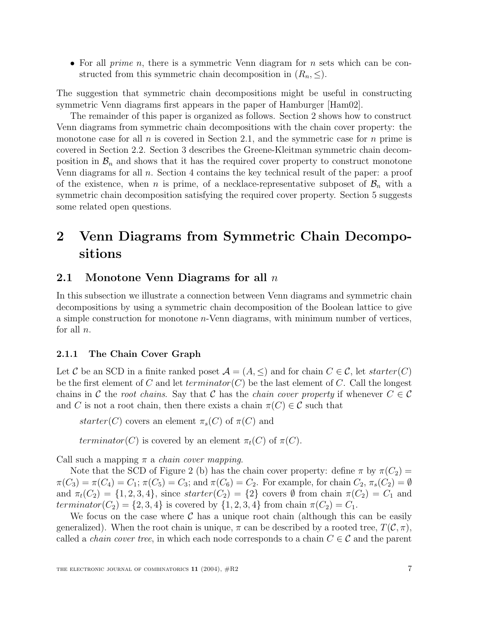• For all *prime n*, there is a symmetric Venn diagram for *n* sets which can be constructed from this symmetric chain decomposition in  $(R_n, \leq)$ .

The suggestion that symmetric chain decompositions might be useful in constructing symmetric Venn diagrams first appears in the paper of Hamburger [Ham02].

The remainder of this paper is organized as follows. Section 2 shows how to construct Venn diagrams from symmetric chain decompositions with the chain cover property: the monotone case for all  $n$  is covered in Section 2.1, and the symmetric case for  $n$  prime is covered in Section 2.2. Section 3 describes the Greene-Kleitman symmetric chain decomposition in  $\mathcal{B}_n$  and shows that it has the required cover property to construct monotone Venn diagrams for all  $n$ . Section 4 contains the key technical result of the paper: a proof of the existence, when n is prime, of a necklace-representative subposet of  $\mathcal{B}_n$  with a symmetric chain decomposition satisfying the required cover property. Section 5 suggests some related open questions.

## **2 Venn Diagrams from Symmetric Chain Decompositions**

#### **2.1 Monotone Venn Diagrams for all** n

In this subsection we illustrate a connection between Venn diagrams and symmetric chain decompositions by using a symmetric chain decomposition of the Boolean lattice to give a simple construction for monotone n-Venn diagrams, with minimum number of vertices, for all  $n$ .

#### **2.1.1 The Chain Cover Graph**

Let C be an SCD in a finite ranked poset  $\mathcal{A} = (A, \leq)$  and for chain  $C \in \mathcal{C}$ , let starter(C) be the first element of C and let  $terminator(C)$  be the last element of C. Call the longest chains in C the root chains. Say that C has the chain cover property if whenever  $C \in \mathcal{C}$ and C is not a root chain, then there exists a chain  $\pi(C) \in \mathcal{C}$  such that

starter(C) covers an element  $\pi_s(C)$  of  $\pi(C)$  and

terminator(C) is covered by an element  $\pi_t(C)$  of  $\pi(C)$ .

Call such a mapping  $\pi$  a *chain cover mapping*.

Note that the SCD of Figure 2 (b) has the chain cover property: define  $\pi$  by  $\pi(C_2)$  =  $\pi(C_3) = \pi(C_4) = C_1$ ;  $\pi(C_5) = C_3$ ; and  $\pi(C_6) = C_2$ . For example, for chain  $C_2$ ,  $\pi_s(C_2) = \emptyset$ and  $\pi_t(C_2) = \{1, 2, 3, 4\}$ , since  $starter(C_2) = \{2\}$  covers  $\emptyset$  from chain  $\pi(C_2) = C_1$  and terminator( $C_2$ ) = {2, 3, 4} is covered by {1, 2, 3, 4} from chain  $\pi(C_2) = C_1$ .

We focus on the case where  $\mathcal C$  has a unique root chain (although this can be easily generalized). When the root chain is unique,  $\pi$  can be described by a rooted tree,  $T(\mathcal{C}, \pi)$ , called a *chain cover tree*, in which each node corresponds to a chain  $C \in \mathcal{C}$  and the parent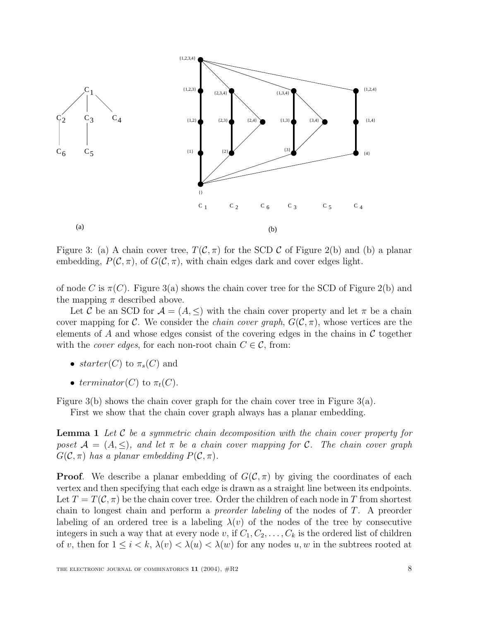

Figure 3: (a) A chain cover tree,  $T(\mathcal{C}, \pi)$  for the SCD C of Figure 2(b) and (b) a planar embedding,  $P(C, \pi)$ , of  $G(C, \pi)$ , with chain edges dark and cover edges light.

of node C is  $\pi(C)$ . Figure 3(a) shows the chain cover tree for the SCD of Figure 2(b) and the mapping  $\pi$  described above.

Let C be an SCD for  $\mathcal{A} = (A, \leq)$  with the chain cover property and let  $\pi$  be a chain cover mapping for C. We consider the *chain cover graph*,  $G(C, \pi)$ , whose vertices are the elements of A and whose edges consist of the covering edges in the chains in  $\mathcal C$  together with the *cover edges*, for each non-root chain  $C \in \mathcal{C}$ , from:

- starter(C) to  $\pi_s(C)$  and
- terminator(C) to  $\pi_t(C)$ .

Figure 3(b) shows the chain cover graph for the chain cover tree in Figure 3(a).

First we show that the chain cover graph always has a planar embedding.

**Lemma 1** Let C be a symmetric chain decomposition with the chain cover property for poset  $\mathcal{A} = (A, \leq),$  and let  $\pi$  be a chain cover mapping for C. The chain cover graph  $G(\mathcal{C}, \pi)$  has a planar embedding  $P(\mathcal{C}, \pi)$ .

**Proof.** We describe a planar embedding of  $G(\mathcal{C}, \pi)$  by giving the coordinates of each vertex and then specifying that each edge is drawn as a straight line between its endpoints. Let  $T = T(\mathcal{C}, \pi)$  be the chain cover tree. Order the children of each node in T from shortest chain to longest chain and perform a preorder labeling of the nodes of T. A preorder labeling of an ordered tree is a labeling  $\lambda(v)$  of the nodes of the tree by consecutive integers in such a way that at every node v, if  $C_1, C_2, \ldots, C_k$  is the ordered list of children of v, then for  $1 \leq i < k$ ,  $\lambda(v) < \lambda(u) < \lambda(w)$  for any nodes u, w in the subtrees rooted at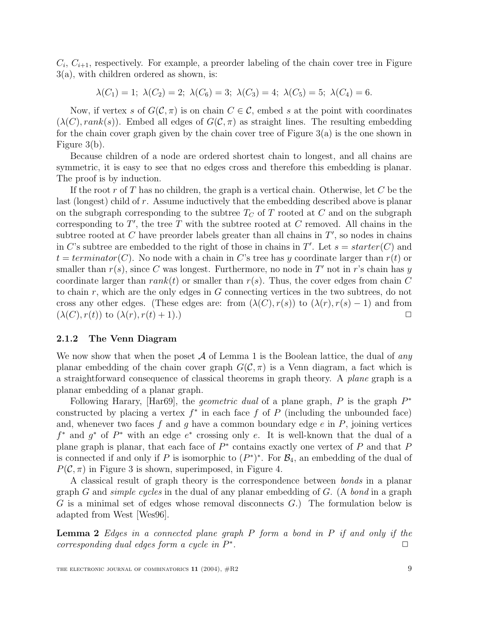$C_i, C_{i+1}$ , respectively. For example, a preorder labeling of the chain cover tree in Figure 3(a), with children ordered as shown, is:

$$
\lambda(C_1) = 1; \ \lambda(C_2) = 2; \ \lambda(C_6) = 3; \ \lambda(C_3) = 4; \ \lambda(C_5) = 5; \ \lambda(C_4) = 6.
$$

Now, if vertex s of  $G(C, \pi)$  is on chain  $C \in \mathcal{C}$ , embed s at the point with coordinates  $(\lambda(C), rank(s))$ . Embed all edges of  $G(C, \pi)$  as straight lines. The resulting embedding for the chain cover graph given by the chain cover tree of Figure 3(a) is the one shown in Figure 3(b).

Because children of a node are ordered shortest chain to longest, and all chains are symmetric, it is easy to see that no edges cross and therefore this embedding is planar. The proof is by induction.

If the root r of T has no children, the graph is a vertical chain. Otherwise, let C be the last (longest) child of r. Assume inductively that the embedding described above is planar on the subgraph corresponding to the subtree  $T_C$  of T rooted at C and on the subgraph corresponding to T', the tree T with the subtree rooted at C removed. All chains in the<br>subtree rooted at C have preorder labels greater than all chains in T' so podes in chains subtree rooted at C have preorder labels greater than all chains in  $T'$ , so nodes in chains<br>in C's subtree are embedded to the right of those in chains in  $T'$ . Let  $s = \text{starter}(C)$  and in C's subtree are embedded to the right of those in chains in T'. Let  $s = starter(C)$  and<br> $t = terminator(C)$ . No node with a chain in C's tree has u coordinate larger than  $r(t)$  or  $t = termination(C)$ . No node with a chain in C's tree has y coordinate larger than  $r(t)$  or smaller than  $r(s)$ , since C was longest. Furthermore, no node in T' not in r's chain has y coordinate larger than rank(t) or smaller than  $r(s)$ . Thus, the cover edges from chain C to chain r, which are the only edges in G connecting vertices in the two subtrees, do not cross any other edges. (These edges are: from  $(\lambda(C), r(s))$  to  $(\lambda(r), r(s) - 1)$  and from  $(\lambda(C), r(t))$  to  $(\lambda(r), r(t) + 1)$ .)  $(\lambda(C), r(t))$  to  $(\lambda(r), r(t) + 1)$ .

#### **2.1.2 The Venn Diagram**

We now show that when the poset  $A$  of Lemma 1 is the Boolean lattice, the dual of any planar embedding of the chain cover graph  $G(\mathcal{C}, \pi)$  is a Venn diagram, a fact which is a straightforward consequence of classical theorems in graph theory. A plane graph is a planar embedding of a planar graph.

Following Harary, [Har69], the *geometric dual* of a plane graph, P is the graph  $P^*$ constructed by placing a vertex  $f^*$  in each face f of P (including the unbounded face) and, whenever two faces f and g have a common boundary edge  $e$  in  $P$ , joining vertices  $f^*$  and  $g^*$  of  $P^*$  with an edge  $e^*$  crossing only e. It is well-known that the dual of a plane graph is planar, that each face of  $P^*$  contains exactly one vertex of P and that P is connected if and only if P is isomorphic to  $(P^*)^*$ . For  $\mathcal{B}_4$ , an embedding of the dual of  $P(\mathcal{C}, \pi)$  in Figure 3 is shown, superimposed, in Figure 4.

A classical result of graph theory is the correspondence between bonds in a planar graph G and *simple cycles* in the dual of any planar embedding of G. (A *bond* in a graph G is a minimal set of edges whose removal disconnects G.) The formulation below is adapted from West [Wes96].

**Lemma 2** Edges in a connected plane graph P form a bond in P if and only if the corresponding dual edges form a cucle in  $P^*$ . corresponding dual edges form a cycle in  $P^*$ .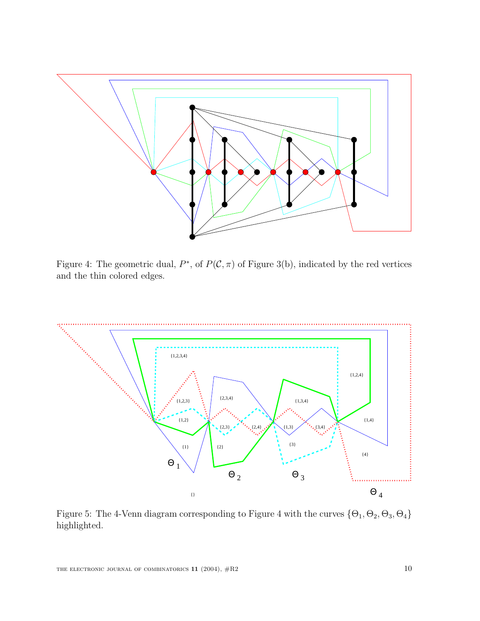

Figure 4: The geometric dual,  $P^*$ , of  $P(C, \pi)$  of Figure 3(b), indicated by the red vertices and the thin colored edges.



Figure 5: The 4-Venn diagram corresponding to Figure 4 with the curves  $\{\Theta_1, \Theta_2, \Theta_3, \Theta_4\}$ highlighted.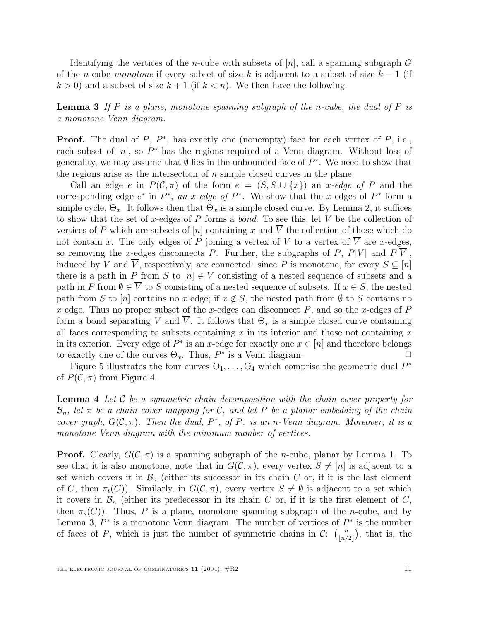Identifying the vertices of the *n*-cube with subsets of  $[n]$ , call a spanning subgraph G of the n-cube monotone if every subset of size k is adjacent to a subset of size  $k-1$  (if  $k > 0$ ) and a subset of size  $k + 1$  (if  $k < n$ ). We then have the following.

**Lemma 3** If P is a plane, monotone spanning subgraph of the n-cube, the dual of P is a monotone Venn diagram.

**Proof.** The dual of  $P$ ,  $P^*$ , has exactly one (nonempty) face for each vertex of  $P$ , i.e., each subset of  $[n]$ , so  $P^*$  has the regions required of a Venn diagram. Without loss of generality, we may assume that  $\emptyset$  lies in the unbounded face of  $P^*$ . We need to show that the regions arise as the intersection of  $n$  simple closed curves in the plane.

Call an edge e in  $P(\mathcal{C}, \pi)$  of the form  $e = (S, S \cup \{x\})$  an x-edge of P and the corresponding edge  $e^*$  in  $P^*$ , an x-edge of  $P^*$ . We show that the x-edges of  $P^*$  form a simple cycle,  $\Theta_x$ . It follows then that  $\Theta_x$  is a simple closed curve. By Lemma 2, it suffices to show that the set of x-edges of P forms a *bond*. To see this, let V be the collection of vertices of P which are subsets of [n] containing x and  $\overline{V}$  the collection of those which do vertices of P which are subsets of [n] containing x and V the collection of those which do<br>not contain x. The only edges of P joining a vertex of V to a vertex of  $\overline{V}$  are x-edges not contain x. The only edges of P joining a vertex of V to a vertex of V are x-edges,<br>so removing the x-edges disconnects P. Further, the subgraphs of P. P[V] and P[V] so removing the x-edges disconnects P. Further, the subgraphs of P,  $P[V]$  and  $P[\overline{V}]$ , induced by V and  $\overline{V}$ , respectively, are connected: since P is monotone, for every  $S \subseteq [n]$ there is a path in P from S to  $[n] \in V$  consisting of a nested sequence of subsets and a path in P from  $\emptyset \in \overline{V}$  to S consisting of a nested sequence of subsets. If  $x \in S$ , the nested path from S to [n] contains no x edge; if  $x \notin S$ , the nested path from  $\emptyset$  to S contains no x edge. Thus no proper subset of the x-edges can disconnect  $P$ , and so the x-edges of  $P$ form a bond separating V and  $\overline{V}$ . It follows that  $\Theta_x$  is a simple closed curve containing all faces corresponding to subsets containing  $x$  in its interior and those not containing  $x$ in its exterior. Every edge of  $P^*$  is an x-edge for exactly one  $x \in [n]$  and therefore belongs to exactly one of the curves  $\Theta_{\infty}$ . Thus,  $P^*$  is a Venn diagram. to exactly one of the curves  $\Theta_x$ . Thus,  $P^*$  is a Venn diagram.

Figure 5 illustrates the four curves  $\Theta_1, \ldots, \Theta_4$  which comprise the geometric dual  $P^*$ of  $P(\mathcal{C}, \pi)$  from Figure 4.

**Lemma 4** Let C be a symmetric chain decomposition with the chain cover property for  $\mathcal{B}_n$ , let  $\pi$  be a chain cover mapping for C, and let P be a planar embedding of the chain cover graph,  $G(C, \pi)$ . Then the dual,  $P^*$ , of P. is an n-Venn diagram. Moreover, it is a monotone Venn diagram with the minimum number of vertices.

**Proof.** Clearly,  $G(C, \pi)$  is a spanning subgraph of the *n*-cube, planar by Lemma 1. To see that it is also monotone, note that in  $G(\mathcal{C}, \pi)$ , every vertex  $S \neq [n]$  is adjacent to a set which covers it in  $\mathcal{B}_n$  (either its successor in its chain C or, if it is the last element of C, then  $\pi_t(C)$ ). Similarly, in  $G(C, \pi)$ , every vertex  $S \neq \emptyset$  is adjacent to a set which it covers in  $\mathcal{B}_n$  (either its predecessor in its chain C or, if it is the first element of C, then  $\pi_s(C)$ ). Thus, P is a plane, monotone spanning subgraph of the n-cube, and by Lemma 3,  $P^*$  is a monotone Venn diagram. The number of vertices of  $P^*$  is the number of faces of P, which is just the number of symmetric chains in C:  $\binom{n}{\lfloor n/2 \rfloor}$ , that is, the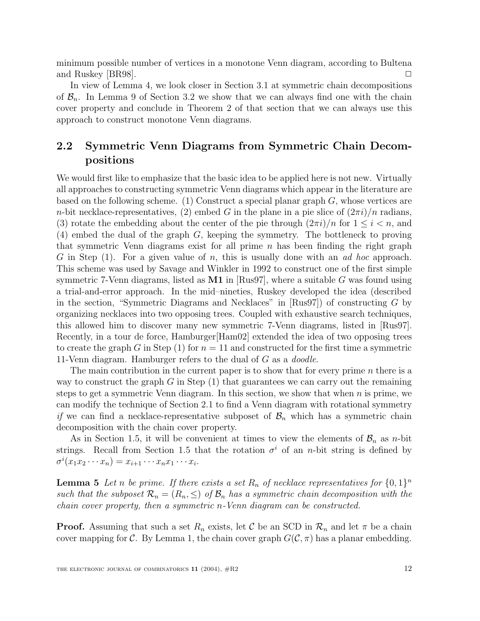minimum possible number of vertices in a monotone Venn diagram, according to Bultena and Ruskey [BR98].

In view of Lemma 4, we look closer in Section 3.1 at symmetric chain decompositions of  $\mathcal{B}_n$ . In Lemma 9 of Section 3.2 we show that we can always find one with the chain cover property and conclude in Theorem 2 of that section that we can always use this approach to construct monotone Venn diagrams.

### **2.2 Symmetric Venn Diagrams from Symmetric Chain Decompositions**

We would first like to emphasize that the basic idea to be applied here is not new. Virtually all approaches to constructing symmetric Venn diagrams which appear in the literature are based on the following scheme. (1) Construct a special planar graph  $G$ , whose vertices are n-bit necklace-representatives, (2) embed G in the plane in a pie slice of  $(2\pi i)/n$  radians, (3) rotate the embedding about the center of the pie through  $(2\pi i)/n$  for  $1 \leq i \leq n$ , and (4) embed the dual of the graph G, keeping the symmetry. The bottleneck to proving that symmetric Venn diagrams exist for all prime  $n$  has been finding the right graph G in Step  $(1)$ . For a given value of n, this is usually done with an *ad hoc* approach. This scheme was used by Savage and Winkler in 1992 to construct one of the first simple symmetric 7-Venn diagrams, listed as **M1** in [Rus97], where a suitable G was found using a trial-and-error approach. In the mid–nineties, Ruskey developed the idea (described in the section, "Symmetric Diagrams and Necklaces" in  $[Rus97]$  of constructing G by organizing necklaces into two opposing trees. Coupled with exhaustive search techniques, this allowed him to discover many new symmetric 7-Venn diagrams, listed in [Rus97]. Recently, in a tour de force, Hamburger[Ham02] extended the idea of two opposing trees to create the graph G in Step (1) for  $n = 11$  and constructed for the first time a symmetric 11-Venn diagram. Hamburger refers to the dual of G as a doodle.

The main contribution in the current paper is to show that for every prime  $n$  there is a way to construct the graph G in Step  $(1)$  that guarantees we can carry out the remaining steps to get a symmetric Venn diagram. In this section, we show that when  $n$  is prime, we can modify the technique of Section 2.1 to find a Venn diagram with rotational symmetry if we can find a necklace-representative subposet of  $\mathcal{B}_n$  which has a symmetric chain decomposition with the chain cover property.

As in Section 1.5, it will be convenient at times to view the elements of  $\mathcal{B}_n$  as *n*-bit strings. Recall from Section 1.5 that the rotation  $\sigma^i$  of an n-bit string is defined by  $\sigma^i(x_1x_2\cdots x_n)=x_{i+1}\cdots x_nx_1\cdots x_i.$ 

**Lemma 5** Let n be prime. If there exists a set  $R_n$  of necklace representatives for  $\{0,1\}^n$ such that the subposet  $\mathcal{R}_n = (R_n, \leq)$  of  $\mathcal{B}_n$  has a symmetric chain decomposition with the chain cover property, then a symmetric n-Venn diagram can be constructed.

**Proof.** Assuming that such a set  $R_n$  exists, let C be an SCD in  $\mathcal{R}_n$  and let  $\pi$  be a chain cover mapping for C. By Lemma 1, the chain cover graph  $G(\mathcal{C}, \pi)$  has a planar embedding.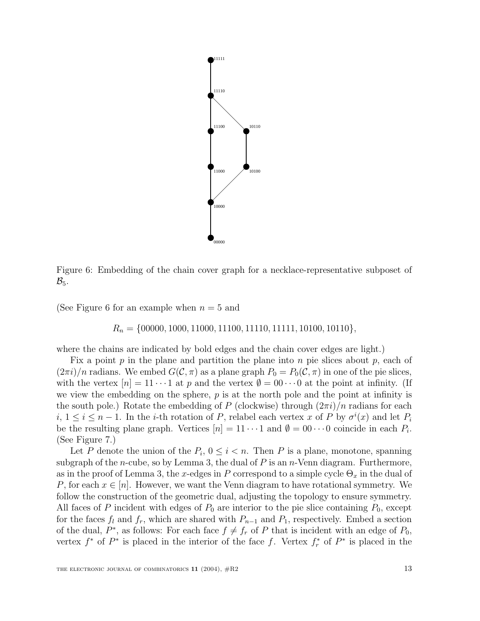

Figure 6: Embedding of the chain cover graph for a necklace-representative subposet of  $\mathcal{B}_5$ .

(See Figure 6 for an example when  $n = 5$  and

#### $R_n = \{00000, 1000, 11000, 11100, 11110, 11111, 10100, 10110\},\$

where the chains are indicated by bold edges and the chain cover edges are light.)

Fix a point  $p$  in the plane and partition the plane into  $n$  pie slices about  $p$ , each of  $(2\pi i)/n$  radians. We embed  $G(\mathcal{C}, \pi)$  as a plane graph  $P_0 = P_0(\mathcal{C}, \pi)$  in one of the pie slices, with the vertex  $[n] = 11 \cdots 1$  at p and the vertex  $\emptyset = 00 \cdots 0$  at the point at infinity. (If we view the embedding on the sphere,  $p$  is at the north pole and the point at infinity is the south pole.) Rotate the embedding of P (clockwise) through  $(2\pi i)/n$  radians for each  $i, 1 \leq i \leq n-1$ . In the *i*-th rotation of P, relabel each vertex x of P by  $\sigma^{i}(x)$  and let  $P_{i}$ <br>be the resulting plane graph. Vertices  $[n] = 11, \ldots 1$  and  $\emptyset = 00, \ldots 0$  coincide in each P. be the resulting plane graph. Vertices  $[n] = 11 \cdots 1$  and  $\emptyset = 00 \cdots 0$  coincide in each  $P_i$ . (See Figure 7.)

Let P denote the union of the  $P_i$ ,  $0 \leq i < n$ . Then P is a plane, monotone, spanning subgraph of the *n*-cube, so by Lemma 3, the dual of  $P$  is an *n*-Venn diagram. Furthermore, as in the proof of Lemma 3, the x-edges in P correspond to a simple cycle  $\Theta_x$  in the dual of P, for each  $x \in [n]$ . However, we want the Venn diagram to have rotational symmetry. We follow the construction of the geometric dual, adjusting the topology to ensure symmetry. All faces of P incident with edges of  $P_0$  are interior to the pie slice containing  $P_0$ , except for the faces  $f_l$  and  $f_r$ , which are shared with  $P_{n-1}$  and  $P_1$ , respectively. Embed a section of the dual,  $P^*$ , as follows: For each face  $f \neq f_r$  of P that is incident with an edge of  $P_0$ , vertex  $f^*$  of  $P^*$  is placed in the interior of the face f. Vertex  $f^*_r$  of  $P^*$  is placed in the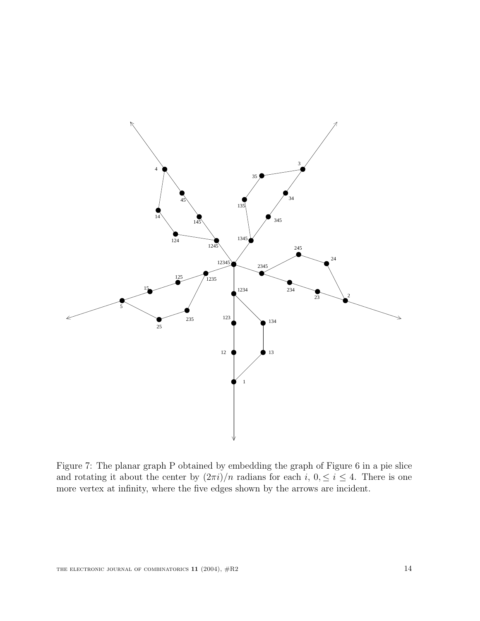

Figure 7: The planar graph P obtained by embedding the graph of Figure 6 in a pie slice and rotating it about the center by  $(2\pi i)/n$  radians for each i,  $0, \leq i \leq 4$ . There is one more vertex at infinity, where the five edges shown by the arrows are incident.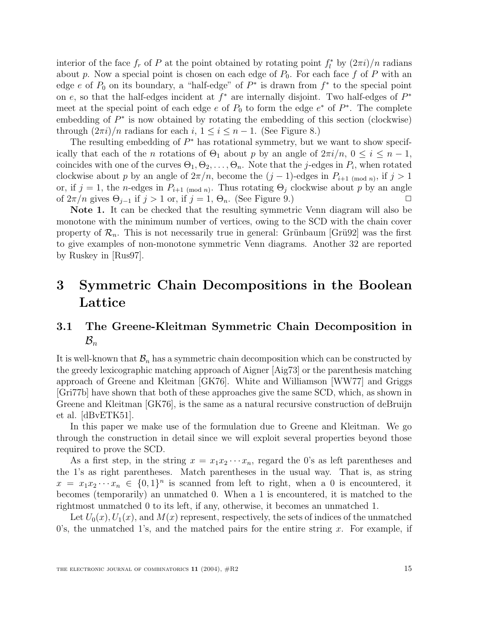interior of the face  $f_r$  of P at the point obtained by rotating point  $f_l^*$  by  $(2\pi i)/n$  radians<br>about n. Now a special point is chosen on each edge of  $P_0$ . For each face f of P with an about p. Now a special point is chosen on each edge of  $P_0$ . For each face f of P with an edge e of  $P_0$  on its boundary, a "half-edge" of  $P^*$  is drawn from  $f^*$  to the special point on e, so that the half-edges incident at  $f^*$  are internally disjoint. Two half-edges of  $P^*$ meet at the special point of each edge e of  $P_0$  to form the edge  $e^*$  of  $P^*$ . The complete embedding of <sup>P</sup><sup>∗</sup> is now obtained by rotating the embedding of this section (clockwise) through  $(2\pi i)/n$  radians for each i,  $1 \leq i \leq n-1$ . (See Figure 8.)

The resulting embedding of  $P^*$  has rotational symmetry, but we want to show specifically that each of the *n* rotations of  $\Theta_1$  about *p* by an angle of  $2\pi i/n$ ,  $0 \le i \le n-1$ , coincides with one of the curves  $\Theta_1, \Theta_2, \ldots, \Theta_n$ . Note that the *j*-edges in  $P_i$ , when rotated clockwise about p by an angle of  $2\pi/n$ , become the  $(j-1)$ -edges in  $P_{i+1 \pmod{n}}$ , if  $j > 1$ or, if  $j = 1$ , the n-edges in  $P_{i+1 \pmod{n}}$ . Thus rotating  $\Theta_j$  clockwise about p by an angle of  $2\pi/n$  gives  $\Theta_{i-1}$  if  $j > 1$  or, if  $j = 1$ ,  $\Theta_n$ . (See Figure 9.) of  $2\pi/n$  gives  $\Theta_{j-1}$  if  $j > 1$  or, if  $j = 1, \Theta_n$ . (See Figure 9.)

**Note 1.** It can be checked that the resulting symmetric Venn diagram will also be monotone with the minimum number of vertices, owing to the SCD with the chain cover property of  $\mathcal{R}_n$ . This is not necessarily true in general: Grünbaum [Grü92] was the first to give examples of non-monotone symmetric Venn diagrams. Another 32 are reported by Ruskey in [Rus97].

## **3 Symmetric Chain Decompositions in the Boolean Lattice**

### **3.1 The Greene-Kleitman Symmetric Chain Decomposition in**  $\mathcal{B}_n$

It is well-known that  $\mathcal{B}_n$  has a symmetric chain decomposition which can be constructed by the greedy lexicographic matching approach of Aigner [Aig73] or the parenthesis matching approach of Greene and Kleitman [GK76]. White and Williamson [WW77] and Griggs [Gri77b] have shown that both of these approaches give the same SCD, which, as shown in Greene and Kleitman [GK76], is the same as a natural recursive construction of deBruijn et al. [dBvETK51].

In this paper we make use of the formulation due to Greene and Kleitman. We go through the construction in detail since we will exploit several properties beyond those required to prove the SCD.

As a first step, in the string  $x = x_1x_2 \cdots x_n$ , regard the 0's as left parentheses and the 1's as right parentheses. Match parentheses in the usual way. That is, as string  $x = x_1 x_2 \cdots x_n \in \{0,1\}^n$  is scanned from left to right, when a 0 is encountered, it becomes (temporarily) an unmatched 0. When a 1 is encountered, it is matched to the rightmost unmatched 0 to its left, if any, otherwise, it becomes an unmatched 1.

Let  $U_0(x)$ ,  $U_1(x)$ , and  $M(x)$  represent, respectively, the sets of indices of the unmatched 0's, the unmatched 1's, and the matched pairs for the entire string x. For example, if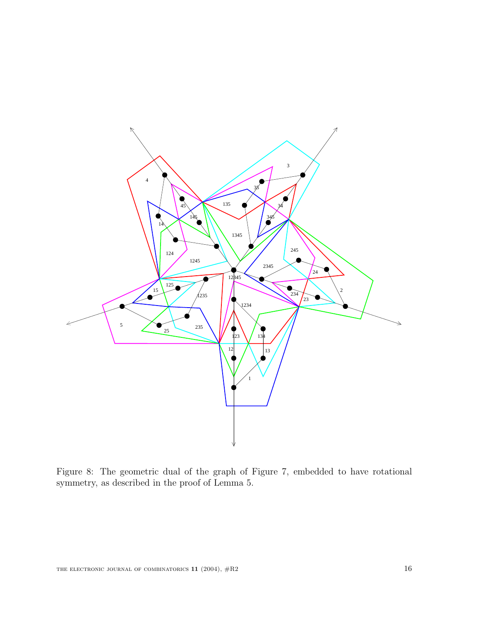

Figure 8: The geometric dual of the graph of Figure 7, embedded to have rotational symmetry, as described in the proof of Lemma 5.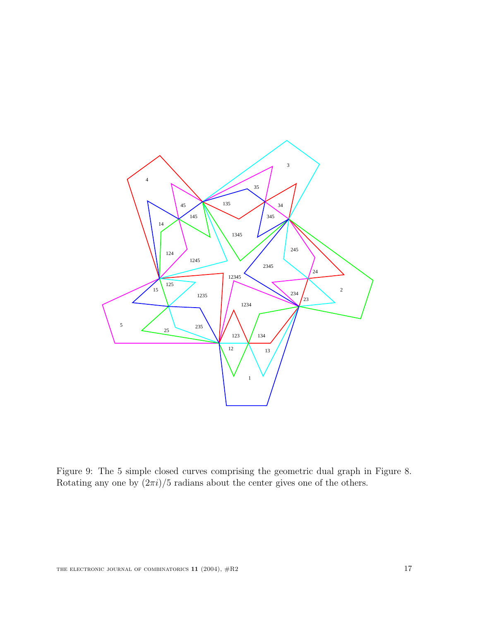

Figure 9: The 5 simple closed curves comprising the geometric dual graph in Figure 8. Rotating any one by  $(2\pi i)/5$  radians about the center gives one of the others.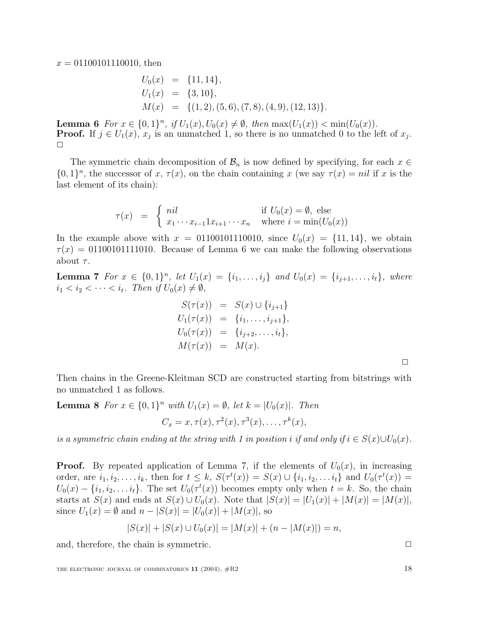$x = 01100101110010$ , then

$$
U_0(x) = \{11, 14\},
$$
  
\n
$$
U_1(x) = \{3, 10\},
$$
  
\n
$$
M(x) = \{(1, 2), (5, 6), (7, 8), (4, 9), (12, 13)\}.
$$

**Lemma 6** For  $x \in \{0,1\}^n$ , if  $U_1(x), U_0(x) \neq \emptyset$ , then  $\max(U_1(x)) < \min(U_0(x))$ .<br>**Proof.** If  $i \in U_1(x)$ ,  $x_i$  is an unmatched 1 so there is no unmatched 0 to the le **Proof.** If  $j \in U_1(x)$ ,  $x_j$  is an unmatched 1, so there is no unmatched 0 to the left of  $x_j$ .  $\Box$ 

The symmetric chain decomposition of  $\mathcal{B}_n$  is now defined by specifying, for each  $x \in$  $\{0,1\}^n$ , the successor of x,  $\tau(x)$ , on the chain containing x (we say  $\tau(x) = nil$  if x is the last element of its chain):

$$
\tau(x) = \begin{cases} nil & \text{if } U_0(x) = \emptyset, \text{ else} \\ x_1 \cdots x_{i-1} 1 x_{i+1} \cdots x_n & \text{where } i = \min(U_0(x)) \end{cases}
$$

In the example above with  $x = 01100101110010$ , since  $U_0(x) = \{11, 14\}$ , we obtain  $\tau(x) = 01100101111010$ . Because of Lemma 6 we can make the following observations about  $\tau$ .

**Lemma 7** For  $x \in \{0,1\}^n$ , let  $U_1(x) = \{i_1, \ldots, i_j\}$  and  $U_0(x) = \{i_{j+1}, \ldots, i_t\}$ , where  $i_1 < i_2 < \cdots < i_t$ . Then if  $U_0(x) \neq \emptyset$ ,

$$
S(\tau(x)) = S(x) \cup \{i_{j+1}\}U_1(\tau(x)) = \{i_1, ..., i_{j+1}\},U_0(\tau(x)) = \{i_{j+2}, ..., i_t\},M(\tau(x)) = M(x).
$$

 $\Box$ 

Then chains in the Greene-Kleitman SCD are constructed starting from bitstrings with no unmatched 1 as follows.

**Lemma 8** For  $x \in \{0,1\}^n$  with  $U_1(x) = \emptyset$ , let  $k = |U_0(x)|$ . Then

$$
C_x = x, \tau(x), \tau^2(x), \tau^3(x), \ldots, \tau^k(x),
$$

is a symmetric chain ending at the string with 1 in position i if and only if  $i \in S(x) \cup U_0(x)$ .

**Proof.** By repeated application of Lemma 7, if the elements of  $U_0(x)$ , in increasing order, are  $i_1, i_2, \ldots, i_k$ , then for  $t \leq k$ ,  $S(\tau^t(x)) = S(x) \cup \{i_1, i_2, \ldots i_t\}$  and  $U_0(\tau^t(x)) =$ <br> $U_0(x) = \int i_1, i_2, \ldots, i_k$ . The set  $U_0(\tau^t(x))$  becomes empty only when  $t = k$ . So, the chain  $U_0(x) - \{i_1, i_2, \ldots i_t\}$ . The set  $U_0(\tau^t(x))$  becomes empty only when  $t = k$ . So, the chain starts at  $S(x)$  and ends at  $S(x) \cup U_0(x)$ . Note that  $|S(x)| = |U_0(x)| + |M(x)| = |M(x)|$ starts at  $S(x)$  and ends at  $S(x) \cup U_0(x)$ . Note that  $|S(x)| = |U_1(x)| + |M(x)| = |M(x)|$ , since  $U_1(x) = \emptyset$  and  $n - |S(x)| = |U_0(x)| + |M(x)|$ , so

$$
|S(x)| + |S(x) \cup U_0(x)| = |M(x)| + (n - |M(x)|) = n,
$$

and, therefore, the chain is symmetric.  $\Box$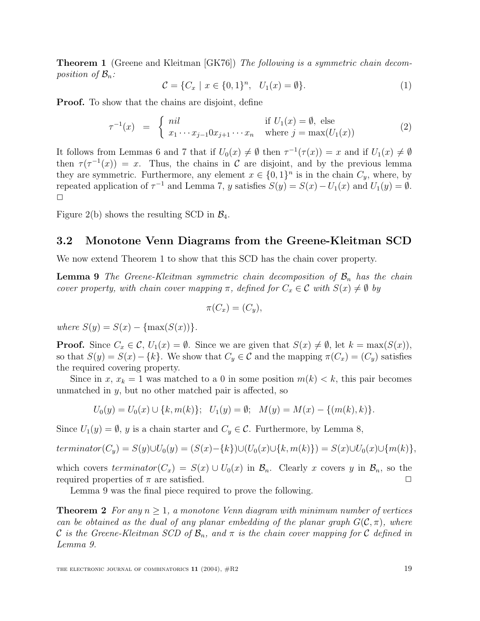**Theorem 1** (Greene and Kleitman [GK76]) The following is a symmetric chain decomposition of  $\mathcal{B}_n$ :

$$
\mathcal{C} = \{C_x \mid x \in \{0, 1\}^n, \ \ U_1(x) = \emptyset\}.
$$
 (1)

**Proof.** To show that the chains are disjoint, define

$$
\tau^{-1}(x) = \begin{cases} nil & \text{if } U_1(x) = \emptyset, \text{ else} \\ x_1 \cdots x_{j-1} 0 x_{j+1} \cdots x_n & \text{where } j = \max(U_1(x)) \end{cases}
$$
 (2)

It follows from Lemmas 6 and 7 that if  $U_0(x) \neq \emptyset$  then  $\tau^{-1}(\tau(x)) = x$  and if  $U_1(x) \neq \emptyset$ then  $\tau(\tau^{-1}(x)) = x$ . Thus, the chains in C are disjoint, and by the previous lemma they are symmetric. Furthermore, any element  $x \in \{0,1\}^n$  is in the chain  $C_y$ , where, by repeated application of  $\tau^{-1}$  and Lemma 7, y satisfies  $S(y) = S(x) - U_1(x)$  and  $U_1(y) = \emptyset$ .  $\Box$ 

Figure 2(b) shows the resulting SCD in  $\mathcal{B}_4$ .

#### **3.2 Monotone Venn Diagrams from the Greene-Kleitman SCD**

We now extend Theorem 1 to show that this SCD has the chain cover property.

**Lemma 9** The Greene-Kleitman symmetric chain decomposition of  $\mathcal{B}_n$  has the chain cover property, with chain cover mapping  $\pi$ , defined for  $C_x \in \mathcal{C}$  with  $S(x) \neq \emptyset$  by

$$
\pi(C_x)=(C_y),
$$

where  $S(y) = S(x) - \{\max(S(x))\}.$ 

**Proof.** Since  $C_x \in \mathcal{C}$ ,  $U_1(x) = \emptyset$ . Since we are given that  $S(x) \neq \emptyset$ , let  $k = \max(S(x))$ , so that  $S(y) = S(x) - \{k\}$ . We show that  $C_y \in \mathcal{C}$  and the mapping  $\pi(C_x) = (C_y)$  satisfies the required covering property.

Since in x,  $x_k = 1$  was matched to a 0 in some position  $m(k) < k$ , this pair becomes unmatched in  $y$ , but no other matched pair is affected, so

$$
U_0(y) = U_0(x) \cup \{k, m(k)\}; \ \ U_1(y) = \emptyset; \ \ M(y) = M(x) - \{(m(k), k)\}.
$$

Since  $U_1(y) = \emptyset$ , y is a chain starter and  $C_y \in \mathcal{C}$ . Furthermore, by Lemma 8,

$$
termination(C_y) = S(y) \cup U_0(y) = (S(x) - \{k\}) \cup (U_0(x) \cup \{k, m(k)\}) = S(x) \cup U_0(x) \cup \{m(k)\},
$$

which covers terminator( $C_x$ ) =  $S(x) \cup U_0(x)$  in  $\mathcal{B}_n$ . Clearly x covers y in  $\mathcal{B}_n$ , so the required properties of  $\pi$  are satisfied. required properties of  $\pi$  are satisfied.  $\square$ <br>
Lemma 9 was the final piece required to prove the following.

**Theorem 2** For any  $n \geq 1$ , a monotone Venn diagram with minimum number of vertices can be obtained as the dual of any planar embedding of the planar graph  $G(\mathcal{C}, \pi)$ , where C is the Greene-Kleitman SCD of  $\mathcal{B}_n$ , and  $\pi$  is the chain cover mapping for C defined in Lemma 9.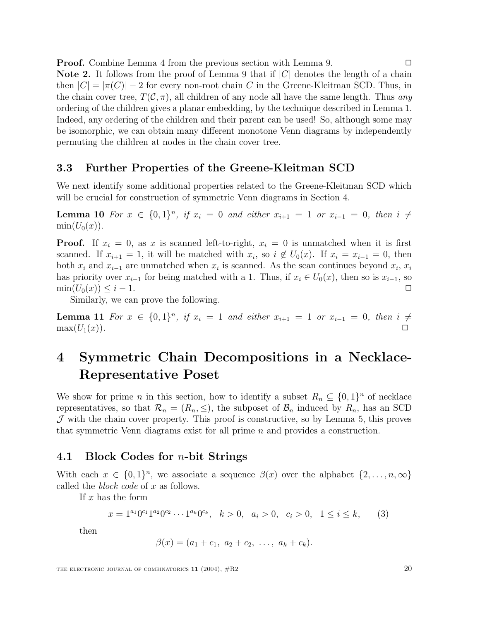**Proof.** Combine Lemma 4 from the previous section with Lemma 9. **Note 2.** It follows from the proof of Lemma 9 that if  $|C|$  denotes the length of a chain then  $|C| = |\pi(C)| - 2$  for every non-root chain C in the Greene-Kleitman SCD. Thus, in the chain cover tree,  $T(\mathcal{C}, \pi)$ , all children of any node all have the same length. Thus any ordering of the children gives a planar embedding, by the technique described in Lemma 1. Indeed, any ordering of the children and their parent can be used! So, although some may be isomorphic, we can obtain many different monotone Venn diagrams by independently permuting the children at nodes in the chain cover tree.

#### **3.3 Further Properties of the Greene-Kleitman SCD**

We next identify some additional properties related to the Greene-Kleitman SCD which will be crucial for construction of symmetric Venn diagrams in Section 4.

**Lemma 10** For  $x \in \{0,1\}^n$ , if  $x_i = 0$  and either  $x_{i+1} = 1$  or  $x_{i-1} = 0$ , then  $i \neq$  $min(U_0(x)).$ 

**Proof.** If  $x_i = 0$ , as x is scanned left-to-right,  $x_i = 0$  is unmatched when it is first scanned. If  $x_{i+1} = 1$ , it will be matched with  $x_i$ , so  $i \notin U_0(x)$ . If  $x_i = x_{i-1} = 0$ , then both  $x_i$  and  $x_{i-1}$  are unmatched when  $x_i$  is scanned. As the scan continues beyond  $x_i$ ,  $x_i$ has priority over  $x_{i-1}$  for being matched with a 1. Thus, if  $x_i \in U_0(x)$ , then so is  $x_{i-1}$ , so  $\min(U_0(x)) \leq i-1$ .  $\min(U_0(x)) \leq i - 1.$ <br>Similarly, we can prove the following.

**Lemma 11** For  $x \in \{0,1\}^n$ , if  $x_i = 1$  and either  $x_{i+1} = 1$  or  $x_{i-1} = 0$ , then  $i \neq \max(U_1(x))$ .  $max(U_1(x))$ .

## **4 Symmetric Chain Decompositions in a Necklace-Representative Poset**

We show for prime n in this section, how to identify a subset  $R_n \subseteq \{0,1\}^n$  of necklace representatives, so that  $\mathcal{R}_n = (R_n, \leq)$ , the subposet of  $\mathcal{B}_n$  induced by  $R_n$ , has an SCD  $J$  with the chain cover property. This proof is constructive, so by Lemma 5, this proves that symmetric Venn diagrams exist for all prime  $n$  and provides a construction.

#### **4.1 Block Codes for** n**-bit Strings**

With each  $x \in \{0,1\}^n$ , we associate a sequence  $\beta(x)$  over the alphabet  $\{2,\ldots,n,\infty\}$ called the *block code* of  $x$  as follows.

If  $x$  has the form

$$
x = 1^{a_1} 0^{c_1} 1^{a_2} 0^{c_2} \cdots 1^{a_k} 0^{c_k}, \quad k > 0, \quad a_i > 0, \quad c_i > 0, \quad 1 \le i \le k,
$$
 (3)

then

$$
\beta(x) = (a_1 + c_1, a_2 + c_2, \ldots, a_k + c_k).
$$

THE ELECTRONIC JOURNAL OF COMBINATORICS  $11$  (2004),  $\#R2$  20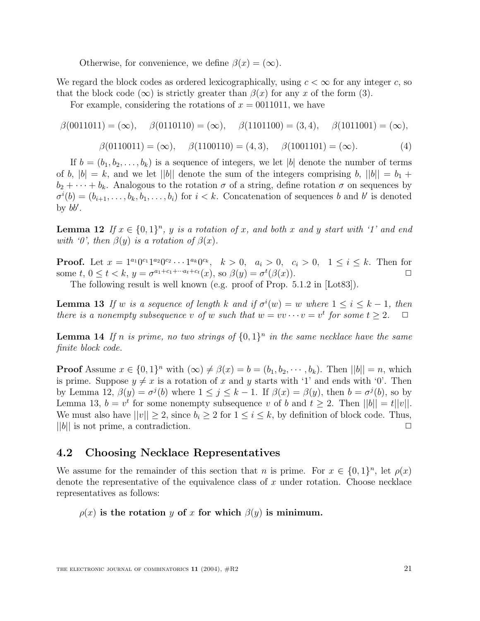Otherwise, for convenience, we define  $\beta(x)=(\infty)$ .

We regard the block codes as ordered lexicographically, using  $c < \infty$  for any integer c, so that the block code  $(\infty)$  is strictly greater than  $\beta(x)$  for any x of the form (3).

For example, considering the rotations of  $x = 0011011$ , we have

$$
\beta(0011011) = (\infty), \quad \beta(0110110) = (\infty), \quad \beta(1101100) = (3, 4), \quad \beta(1011001) = (\infty), \n\beta(0110011) = (\infty), \quad \beta(1100110) = (4, 3), \quad \beta(1001101) = (\infty). \tag{4}
$$

If  $b = (b_1, b_2, \ldots, b_k)$  is a sequence of integers, we let |b| denote the number of terms of b,  $|b| = k$ , and we let  $||b||$  denote the sum of the integers comprising b,  $||b|| = b_1 +$  $b_2 + \cdots + b_k$ . Analogous to the rotation  $\sigma$  of a string, define rotation  $\sigma$  on sequences by  $\sigma^{i}(b) = (b_{i+1}, \ldots, b_k, b_1, \ldots, b_i)$  for  $i < k$ . Concatenation of sequences b and b' is denoted by  $b'$ by  $bb'.$ 

**Lemma 12** If  $x \in \{0,1\}^n$ , y is a rotation of x, and both x and y start with '1' and end with '0', then  $\beta(y)$  is a rotation of  $\beta(x)$ .

**Proof.** Let  $x = 1^{a_1}0^{c_1}1^{a_2}0^{c_2}\cdots1^{a_k}0^{c_k}$ ,  $k > 0$ ,  $a_i > 0$ ,  $c_i > 0$ ,  $1 \le i \le k$ . Then for some  $t, 0 \le t < k$ .  $y = \sigma^{a_1+c_1+\cdots+a_t+c_t}(x)$ , so  $\beta(y) = \sigma^t(\beta(x))$ . some t,  $0 \leq t < k$ ,  $y = \sigma^{a_1+c_1+\cdots a_t+c_t}(x)$ , so  $\beta(y) = \sigma^t(\beta(x))$ . ne  $t, 0 \le t < k, y = \sigma^{a_1+c_1+\cdots a_t+c_t}(x)$ , so  $\beta(y) = \sigma^t(\beta(x))$ .  $\Box$ <br>The following result is well known (e.g. proof of Prop. 5.1.2 in [Lot83]).

**Lemma 13** If w is a sequence of length k and if  $\sigma^i(w) = w$  where  $1 \leq i \leq k - 1$ , then<br>there is a nonempty subsequence y of w such that  $w = w_1, \ldots, v = v^t$  for some  $t > 2$ there is a nonempty subsequence v of w such that  $w = v v \cdots v = v^t$  for some  $t \geq 2$ .  $\Box$ 

**Lemma 14** If n is prime, no two strings of  $\{0,1\}^n$  in the same necklace have the same finite block code.

**Proof** Assume  $x \in \{0,1\}^n$  with  $(\infty) \neq \beta(x) = b = (b_1, b_2, \dots, b_k)$ . Then  $||b|| = n$ , which is prime. Suppose  $y \neq x$  is a rotation of x and y starts with '1' and ends with '0'. Then by Lemma 12,  $\beta(y) = \sigma^{j}(b)$  where  $1 \leq j \leq k-1$ . If  $\beta(x) = \beta(y)$ , then  $b = \sigma^{j}(b)$ , so by Lemma 13,  $b = v^t$  for some nonempty subsequence v of b and  $t \geq 2$ . Then  $||b|| = t||v||$ . We must also have  $||v|| \ge 2$ , since  $b_i \ge 2$  for  $1 \le i \le k$ , by definition of block code. Thus,  $||b||$  is not prime, a contradiction.  $||b||$  is not prime, a contradiction.

#### **4.2 Choosing Necklace Representatives**

We assume for the remainder of this section that n is prime. For  $x \in \{0,1\}^n$ , let  $\rho(x)$ denote the representative of the equivalence class of  $x$  under rotation. Choose necklace representatives as follows:

 $\rho(x)$  is the rotation y of x for which  $\beta(y)$  is minimum.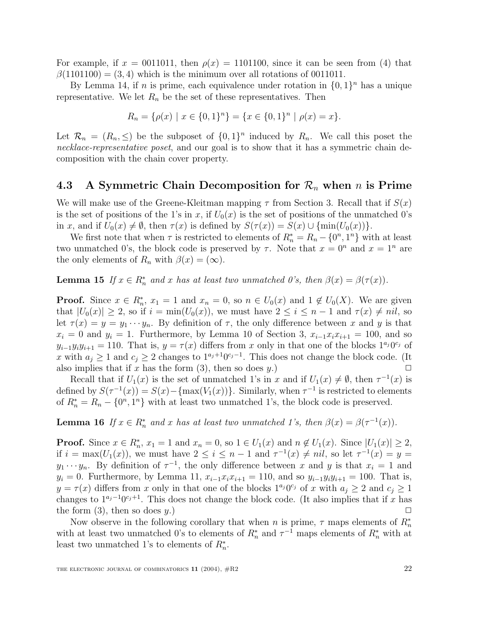For example, if  $x = 0011011$ , then  $\rho(x) = 1101100$ , since it can be seen from (4) that  $\beta(1101100) = (3, 4)$  which is the minimum over all rotations of 0011011.

By Lemma 14, if *n* is prime, each equivalence under rotation in  $\{0, 1\}^n$  has a unique representative. We let  $R_n$  be the set of these representatives. Then

$$
R_n = \{ \rho(x) \mid x \in \{0,1\}^n \} = \{ x \in \{0,1\}^n \mid \rho(x) = x \}.
$$

Let  $\mathcal{R}_n = (R_n, \leq)$  be the subposet of  $\{0, 1\}^n$  induced by  $R_n$ . We call this poset the necklace-representative poset, and our goal is to show that it has a symmetric chain decomposition with the chain cover property.

#### **4.3** A Symmetric Chain Decomposition for  $\mathcal{R}_n$  when n is Prime

We will make use of the Greene-Kleitman mapping  $\tau$  from Section 3. Recall that if  $S(x)$ is the set of positions of the 1's in x, if  $U_0(x)$  is the set of positions of the unmatched 0's in x, and if  $U_0(x) \neq \emptyset$ , then  $\tau(x)$  is defined by  $S(\tau(x)) = S(x) \cup {\min(U_0(x))}$ .

We first note that when  $\tau$  is restricted to elements of  $R_n^* = R_n - \{0^n, 1^n\}$  with at least unmatched  $0$ 's the block code is preserved by  $\tau$ . Note that  $x = 0^n$  and  $x = 1^n$  are two unmatched 0's, the block code is preserved by  $\tau$ . Note that  $x = 0^n$  and  $x = 1^n$  are the only elements of  $R_n$  with  $\beta(x)=(\infty)$ .

**Lemma 15** If  $x \in R_n^*$  and x has at least two unmatched 0's, then  $\beta(x) = \beta(\tau(x))$ .

**Proof.** Since  $x \in R_n^*$ ,  $x_1 = 1$  and  $x_n = 0$ , so  $n \in U_0(x)$  and  $1 \notin U_0(X)$ . We are given that  $|U_0(x)| \geq 2$  so if  $i = \min(U_0(x))$  we must have  $2 \leq i \leq n-1$  and  $\tau(x) \neq nil$  so that  $|U_0(x)| \geq 2$ , so if  $i = \min(U_0(x))$ , we must have  $2 \leq i \leq n-1$  and  $\tau(x) \neq nil$ , so let  $\tau(x) = y = y_1 \cdots y_n$ . By definition of  $\tau$ , the only difference between x and y is that  $x_i = 0$  and  $y_i = 1$ . Furthermore, by Lemma 10 of Section 3,  $x_{i-1}x_ix_{i+1} = 100$ , and so  $y_{i-1}y_iy_{i+1} = 110$ . That is,  $y = \tau(x)$  differs from x only in that one of the blocks  $1^{a_j}0^{c_j}$  of x with  $a_j \ge 1$  and  $c_j \ge 2$  changes to  $1^{a_j+1}0^{c_j-1}$ . This does not change the block code. (It also implies that if x has the form (3), then so does y.) also implies that if x has the form (3), then so does y.)  $\square$ <br>Becall that if  $U_r(x)$  is the set of unmatched 1's in x and if  $U_r(x) \neq \emptyset$  then  $\tau^{-1}(x)$  is

Recall that if  $U_1(x)$  is the set of unmatched 1's in x and if  $U_1(x) \neq \emptyset$ , then  $\tau^{-1}(x)$  is not by  $S(\tau^{-1}(x)) = S(x) - \text{Im}(V_1(x))$ . Similarly when  $\tau^{-1}$  is positioned to elements defined by  $S(\tau^{-1}(x)) = S(x) - \{\max(V_1(x))\}$ . Similarly, when  $\tau^{-1}$  is restricted to elements of  $R_n^* = R_n - \{0^n, 1^n\}$  with at least two unmatched 1's, the block code is preserved.

**Lemma 16** If  $x \in R_n^*$  and x has at least two unmatched 1's, then  $\beta(x) = \beta(\tau^{-1}(x))$ .

**Proof.** Since  $x \in R_n^*$ ,  $x_1 = 1$  and  $x_n = 0$ , so  $1 \in U_1(x)$  and  $n \notin U_1(x)$ . Since  $|U_1(x)| \geq 2$ , if  $i = \max(U_k(x))$ , we must have  $2 \leq i \leq n-1$  and  $\tau^{-1}(x) \neq nil$ , so let  $\tau^{-1}(x) = u$ if  $i = \max(U_1(x))$ , we must have  $2 \le i \le n-1$  and  $\tau^{-1}(x) \ne nil$ , so let  $\tau^{-1}(x) = y =$  $y_1 \cdots y_n$ . By definition of  $\tau^{-1}$ , the only difference between x and y is that  $x_i = 1$  and  $y_i = 0$ . Furthermore, by Lemma 11,  $x_{i-1}x_ix_{i+1} = 110$ , and so  $y_{i-1}y_iy_{i+1} = 100$ . That is,  $y = \tau(x)$  differs from x only in that one of the blocks  $1^{a_j}0^{c_j}$  of x with  $a_j \geq 2$  and  $c_j \geq 1$ changes to  $1^{a_j-1}0^{c_j+1}$ . This does not change the block code. (It also implies that if x has the form (3), then so does y.) the form (3), then so does y.)  $\square$ <br>Now observe in the following corollary that when y is prime  $\tau$  maps elements of  $R^*$ 

Now observe in the following corollary that when *n* is prime,  $\tau$  maps elements of  $R_n^*$ <br>h at least two unmatched 0's to elements of  $R^*$  and  $\tau^{-1}$  maps elements of  $R^*$  with at with at least two unmatched 0's to elements of  $R_n^*$  and  $\tau^{-1}$  maps elements of  $R_n^*$  with at least two unmatched 1's to elements of  $R^*$ least two unmatched 1's to elements of  $R_n^*$ .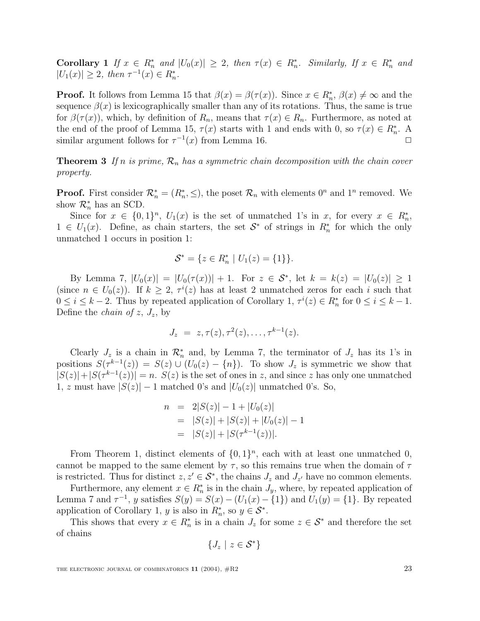**Corollary 1** If  $x \in R_n^*$  and  $|U_0(x)| \geq 2$ , then  $\tau(x) \in R_n^*$ . Similarly, If  $x \in R_n^*$  and  $|U_1(x)| > 2$  then  $\tau^{-1}(x) \in R^*$  $|U_1(x)| \geq 2$ , then  $\tau^{-1}(x) \in R_n^*$ .

**Proof.** It follows from Lemma 15 that  $\beta(x) = \beta(\tau(x))$ . Since  $x \in R_n^*$ ,  $\beta(x) \neq \infty$  and the sequence  $\beta(x)$  is lexicographically smaller than any of its rotations. Thus, the same is true sequence  $\beta(x)$  is lexicographically smaller than any of its rotations. Thus, the same is true for  $\beta(\tau(x))$ , which, by definition of  $R_n$ , means that  $\tau(x) \in R_n$ . Furthermore, as noted at the end of the proof of Lemma 15,  $\tau(x)$  starts with 1 and ends with 0, so  $\tau(x) \in R_n^*$ . A<br>similar argument follows for  $\tau^{-1}(x)$  from Lemma 16 similar argument follows for  $\tau^{-1}(x)$  from Lemma 16.  $\Box$ 

**Theorem 3** If n is prime,  $\mathcal{R}_n$  has a symmetric chain decomposition with the chain cover property.

**Proof.** First consider  $\mathcal{R}_n^* = (R_n^*, \leq)$ , the poset  $\mathcal{R}_n$  with elements  $0^n$  and  $1^n$  removed. We show  $\mathcal{R}^*$  has an SCD show  $\mathcal{R}_n^*$  has an SCD.

Since for  $x \in \{0,1\}^n$ ,  $U_1(x)$  is the set of unmatched 1's in x, for every  $x \in R_n^*$ ,<br>i.  $U_n(x)$  Define as chain starters, the set  $S^*$  of strings in  $R^*$  for which the only 1 ∈  $U_1(x)$ . Define, as chain starters, the set  $S^*$  of strings in  $R_n^*$  for which the only unmatched 1 occurs in position 1. unmatched 1 occurs in position 1:

$$
\mathcal{S}^* = \{ z \in R_n^* \mid U_1(z) = \{1\} \}.
$$

By Lemma 7,  $|U_0(x)| = |U_0(\tau(x))| + 1$ . For  $z \in S^*$ , let  $k = k(z) = |U_0(z)| \geq 1$ (since  $n \in U_0(z)$ ). If  $k \geq 2$ ,  $\tau^i(z)$  has at least 2 unmatched zeros for each i such that  $0 \leq i \leq k-2$  Thus by reported application of Corollary  $1, \tau^i(z) \in R^*$  for  $0 \leq i \leq k-1$  $0 \le i \le k-2$ . Thus by repeated application of Corollary  $1, \tau^i(z) \in R_n^*$  for  $0 \le i \le k-1$ .<br>Define the *chain of*  $z \ne l$  by Define the *chain of z*,  $J_z$ , by

$$
J_z = z, \tau(z), \tau^2(z), \ldots, \tau^{k-1}(z).
$$

Clearly  $J_z$  is a chain in  $\mathcal{R}_n^*$  and, by Lemma 7, the terminator of  $J_z$  has its 1's in<br>itions  $S(\tau^{k-1}(z)) = S(z) + (U_z(z) - J_z)$  To show I is symmetric we show that positions  $S(\tau^{k-1}(z)) = S(z) \cup (U_0(z) - \{n\})$ . To show  $J_z$  is symmetric we show that  $|S(z)|+|S(\tau^{k-1}(z))|=n.$   $S(z)$  is the set of ones in z, and since z has only one unmatched 1, z must have  $|S(z)| - 1$  matched 0's and  $|U_0(z)|$  unmatched 0's. So,

$$
n = 2|S(z)| - 1 + |U_0(z)|
$$
  
= |S(z)| + |S(z)| + |U\_0(z)| - 1  
= |S(z)| + |S(\tau^{k-1}(z))|.

From Theorem 1, distinct elements of  $\{0,1\}^n$ , each with at least one unmatched 0, cannot be mapped to the same element by  $\tau$ , so this remains true when the domain of  $\tau$ is restricted. Thus for distinct  $z, z' \in \mathcal{S}^*$ , the chains  $J_z$  and  $J_{z'}$  have no common elements.

Furthermore, any element  $x \in R_n^*$  is in the chain  $J_y$ , where, by repeated application of<br>nma 7 and  $\tau^{-1}$ , u satisfies  $S(u) = S(x) = (L(x) - \tau(1))$  and  $L(u) = \tau(1)$ . By repeated Lemma 7 and  $\tau^{-1}$ , y satisfies  $S(y) = S(x) - (U_1(x) - \{1\})$  and  $U_1(y) = \{1\}$ . By repeated application of Corollary 1, y is also in  $R_n^*$ , so  $y \in S^*$ .<br>This shows that every  $x \in R^*$  is in a chain I for

This shows that every  $x \in R_n^*$  is in a chain  $J_z$  for some  $z \in S^*$  and therefore the set of chains

$$
\{J_z \mid z \in \mathcal{S}^*\}
$$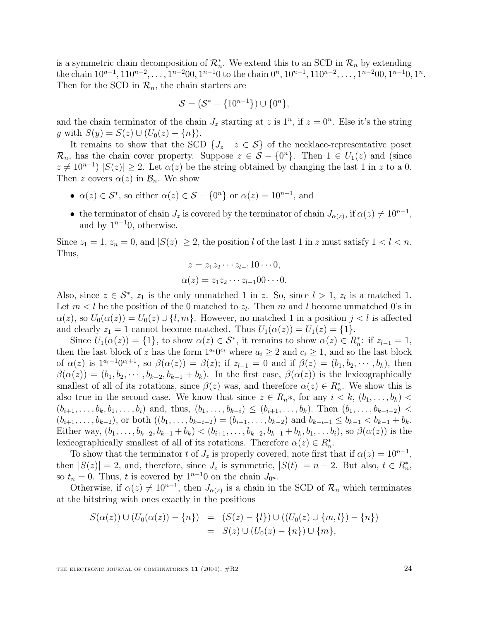is a symmetric chain decomposition of  $\mathcal{R}_n^*$ . We extend this to an SCD in  $\mathcal{R}_n$  by extending the chain  $10^{n-1}$ ,  $110^{n-2}$ , ...,  $1^{n-2}00$ ,  $1^{n-1}0$  to the chain  $0^n$ ,  $10^{n-1}$ ,  $110^{n-2}$ , ...,  $1^{n-2}00$ ,  $1^{n-1}0$ ,  $1^n$ . Then for the SCD in  $\mathcal{R}_n$ , the chain starters are

$$
S = (S^* - \{10^{n-1}\}) \cup \{0^n\},\
$$

and the chain terminator of the chain  $J_z$  starting at z is  $1^n$ , if  $z = 0^n$ . Else it's the string y with  $S(y) = S(z) \cup (U_0(z) - \{n\}).$ 

It remains to show that the SCD  $\{J_z \mid z \in S\}$  of the necklace-representative poset  $\mathcal{R}_n$ , has the chain cover property. Suppose  $z \in \mathcal{S} - \{0^n\}$ . Then  $1 \in U_1(z)$  and (since  $z \neq 10^{n-1}$   $|S(z)| \geq 2$ . Let  $\alpha(z)$  be the string obtained by changing the last 1 in z to a 0. Then z covers  $\alpha(z)$  in  $\mathcal{B}_n$ . We show

- $\alpha(z) \in S^*$ , so either  $\alpha(z) \in S \{0^n\}$  or  $\alpha(z) = 10^{n-1}$ , and
- the terminator of chain  $J_z$  is covered by the terminator of chain  $J_{\alpha(z)}$ , if  $\alpha(z) \neq 10^{n-1}$ , and by  $1^{n-1}0$ , otherwise.

Since  $z_1 = 1$ ,  $z_n = 0$ , and  $|S(z)| \geq 2$ , the position l of the last 1 in z must satisfy  $1 < l < n$ . Thus,

$$
z = z_1 z_2 \cdots z_{l-1} 10 \cdots 0,
$$
  
\n
$$
\alpha(z) = z_1 z_2 \cdots z_{l-1} 00 \cdots 0.
$$

Also, since  $z \in \mathcal{S}^*$ ,  $z_1$  is the only unmatched 1 in z. So, since  $l > 1$ ,  $z_l$  is a matched 1. Let  $m < l$  be the position of the 0 matched to  $z_l$ . Then m and l become unmatched 0's in  $\alpha(z)$ , so  $U_0(\alpha(z)) = U_0(z) \cup \{l, m\}$ . However, no matched 1 in a position  $j < l$  is affected and clearly  $z_1 = 1$  cannot become matched. Thus  $U_1(\alpha(z)) = U_1(z) = \{1\}.$ 

Since  $U_1(\alpha(z)) = \{1\}$ , to show  $\alpha(z) \in S^*$ , it remains to show  $\alpha(z) \in R_n^*$ : if  $z_{l-1} = 1$ ,<br>n the last block of z has the form  $1^{a_i}0^{c_i}$  where  $a_i > 2$  and  $c_i > 1$  and so the last block then the last block of z has the form  $1^{a_i}0^{c_i}$  where  $a_i \geq 2$  and  $c_i \geq 1$ , and so the last block of  $\alpha(z)$  is  $1^{a_i-1}0^{c_i+1}$ , so  $\beta(\alpha(z)) = \beta(z)$ ; if  $z_{l-1} = 0$  and if  $\beta(z) = (b_1, b_2, \dots, b_k)$ , then  $\beta(\alpha(z)) = (b_1, b_2, \dots, b_{k-2}, b_{k-1} + b_k)$ . In the first case,  $\beta(\alpha(z))$  is the lexicographically smallest of all of its rotations, since  $\beta(z)$  was, and therefore  $\alpha(z) \in R_{n}^{*}$ . We show this is also true in the second case. We know that since  $z \in R_n^*$ , for any  $i < k$ ,  $(b_1, \ldots, b_k)$  $(b_{i+1},\ldots,b_k,b_1,\ldots,b_i)$  and, thus,  $(b_1,\ldots,b_{k-i}) \leq (b_{i+1},\ldots,b_k)$ . Then  $(b_1,\ldots,b_{k-i-2})$  $(b_{i+1},\ldots,b_{k-2})$ , or both  $((b_1,\ldots,b_{k-i-2})=(b_{i+1},\ldots,b_{k-2})$  and  $b_{k-i-1} \leq b_{k-1} < b_{k-1} + b_k$ . Either way,  $(b_1, \ldots, b_{k-2}, b_{k-1} + b_k) < (b_{i+1}, \ldots, b_{k-2}, b_{k-1} + b_k, b_1, \ldots, b_i)$ , so  $\beta(\alpha(z))$  is the lexicographically smallest of all of its rotations. Therefore  $\alpha(z) \in R_n^*$ .<br>To show that the terminator t of I is properly covered note first the

To show that the terminator t of  $J_z$  is properly covered, note first that if  $\alpha(z) = 10^{n-1}$ , then  $|S(z)| = 2$ , and, therefore, since  $J_z$  is symmetric,  $|S(t)| = n - 2$ . But also,  $t \in R_n^*$ ,<br>so  $t_0 = 0$ . Thus t is covered by  $1^{n-1}0$  on the chain  $J_{\infty}$ . so  $t_n = 0$ . Thus, t is covered by  $1^{n-1}0$  on the chain  $J_{0^n}$ .

Otherwise, if  $\alpha(z) \neq 10^{n-1}$ , then  $J_{\alpha(z)}$  is a chain in the SCD of  $\mathcal{R}_n$  which terminates at the bitstring with ones exactly in the positions

$$
S(\alpha(z)) \cup (U_0(\alpha(z)) - \{n\}) = (S(z) - \{l\}) \cup ((U_0(z) \cup \{m, l\}) - \{n\})
$$
  
=  $S(z) \cup (U_0(z) - \{n\}) \cup \{m\},$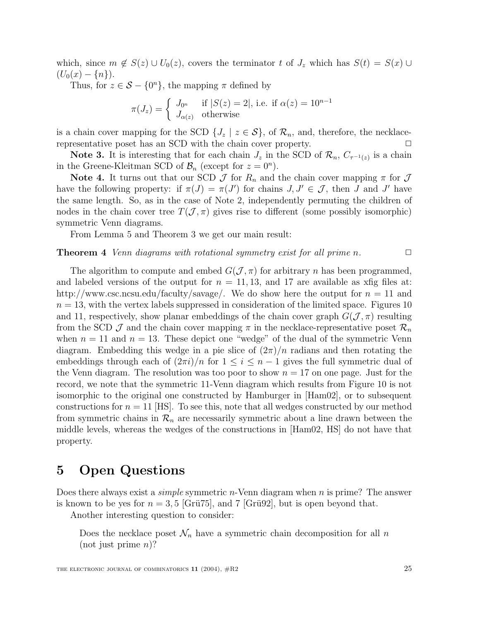which, since  $m \notin S(z) \cup U_0(z)$ , covers the terminator t of  $J_z$  which has  $S(t) = S(x) \cup$  $(U_0(x) - \{n\}).$ 

Thus, for  $z \in \mathcal{S} - \{0^n\}$ , the mapping  $\pi$  defined by

$$
\pi(J_z) = \begin{cases} J_{0^n} & \text{if } |S(z) = 2|, \text{ i.e. if } \alpha(z) = 10^{n-1} \\ J_{\alpha(z)} & \text{otherwise} \end{cases}
$$

is a chain cover mapping for the SCD  $\{J_z \mid z \in S\}$ , of  $\mathcal{R}_n$ , and, therefore, the necklace-<br>representative poset has an SCD with the chain cover property. representative poset has an SCD with the chain cover property.

**Note 3.** It is interesting that for each chain  $J_z$  in the SCD of  $\mathcal{R}_n$ ,  $C_{\tau^{-1}(z)}$  is a chain in the Greene-Kleitman SCD of  $\mathcal{B}_n$  (except for  $z = 0^n$ ).

**Note 4.** It turns out that our SCD  $\mathcal{J}$  for  $R_n$  and the chain cover mapping  $\pi$  for  $\mathcal{J}$ have the following property: if  $\pi(J) = \pi(J')$  for chains  $J, J' \in \mathcal{J}$ , then J and J' have<br>the same length. So, as in the case of Note 2, independently permuting the children of the same length. So, as in the case of Note 2, independently permuting the children of nodes in the chain cover tree  $T(\mathcal{J}, \pi)$  gives rise to different (some possibly isomorphic) symmetric Venn diagrams.

From Lemma 5 and Theorem 3 we get our main result:

#### **Theorem 4** Venn diagrams with rotational symmetry exist for all prime n.  $\Box$

The algorithm to compute and embed  $G(\mathcal{J}, \pi)$  for arbitrary n has been programmed, and labeled versions of the output for  $n = 11, 13$ , and 17 are available as xfig files at: http://www.csc.ncsu.edu/faculty/savage/. We do show here the output for  $n = 11$  and  $n = 13$ , with the vertex labels suppressed in consideration of the limited space. Figures 10 and 11, respectively, show planar embeddings of the chain cover graph  $G(\mathcal{J}, \pi)$  resulting from the SCD  $\mathcal J$  and the chain cover mapping  $\pi$  in the necklace-representative poset  $\mathcal R_n$ when  $n = 11$  and  $n = 13$ . These depict one "wedge" of the dual of the symmetric Venn diagram. Embedding this wedge in a pie slice of  $(2\pi)/n$  radians and then rotating the embeddings through each of  $(2\pi i)/n$  for  $1 \leq i \leq n-1$  gives the full symmetric dual of the Venn diagram. The resolution was too poor to show  $n = 17$  on one page. Just for the record, we note that the symmetric 11-Venn diagram which results from Figure 10 is not isomorphic to the original one constructed by Hamburger in [Ham02], or to subsequent constructions for  $n = 11$  [HS]. To see this, note that all wedges constructed by our method from symmetric chains in  $\mathcal{R}_n$  are necessarily symmetric about a line drawn between the middle levels, whereas the wedges of the constructions in [Ham02, HS] do not have that property.

## **5 Open Questions**

Does there always exist a simple symmetric n-Venn diagram when n is prime? The answer is known to be yes for  $n = 3, 5$  [Grü $75$ ], and  $7$  [Grü $92$ ], but is open beyond that.

Another interesting question to consider:

Does the necklace poset  $\mathcal{N}_n$  have a symmetric chain decomposition for all n  $(not$  just prime *n*)?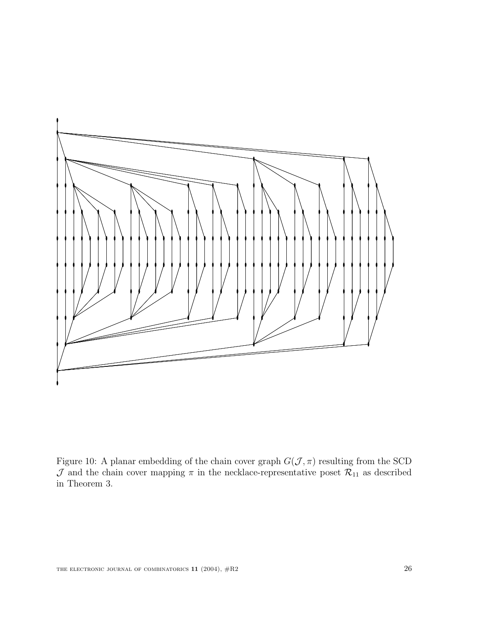

Figure 10: A planar embedding of the chain cover graph  $G(\mathcal{J}, \pi)$  resulting from the SCD  ${\cal J}$  and the chain cover mapping  $\pi$  in the necklace-representative poset  ${\cal R}_{11}$  as described in Theorem 3.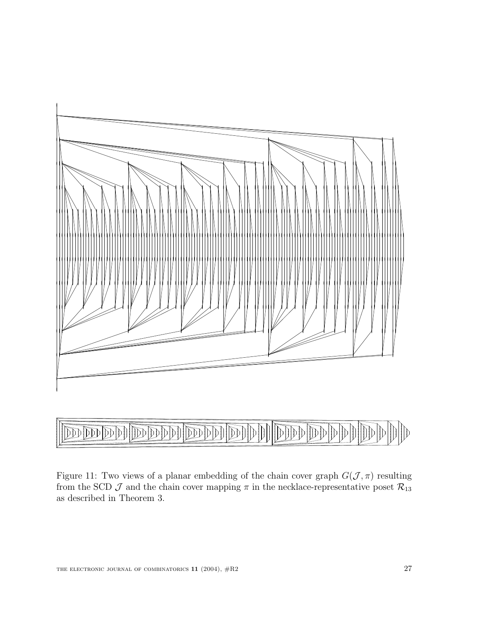

#### 

Figure 11: Two views of a planar embedding of the chain cover graph  $G(\mathcal{J}, \pi)$  resulting from the SCD  $\mathcal J$  and the chain cover mapping  $\pi$  in the necklace-representative poset  $\mathcal{R}_{13}$ as described in Theorem 3.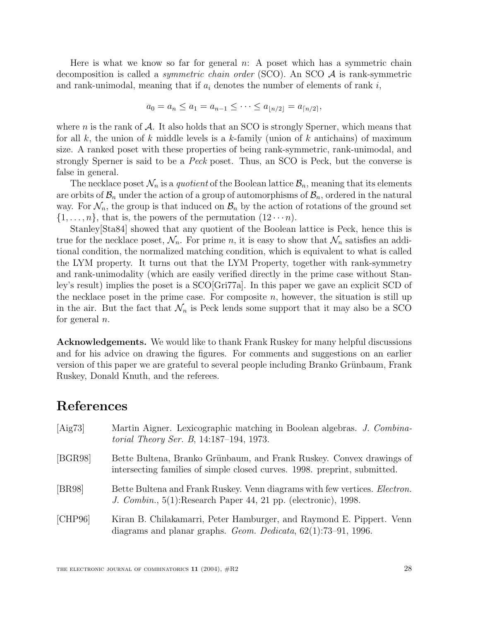Here is what we know so far for general  $n: A$  poset which has a symmetric chain decomposition is called a *symmetric chain order* (SCO). An SCO  $A$  is rank-symmetric and rank-unimodal, meaning that if  $a_i$  denotes the number of elements of rank i,

$$
a_0 = a_n \le a_1 = a_{n-1} \le \cdots \le a_{\lfloor n/2 \rfloor} = a_{\lceil n/2 \rceil},
$$

where n is the rank of  $A$ . It also holds that an SCO is strongly Sperner, which means that for all k, the union of k middle levels is a k-family (union of k antichains) of maximum size. A ranked poset with these properties of being rank-symmetric, rank-unimodal, and strongly Sperner is said to be a Peck poset. Thus, an SCO is Peck, but the converse is false in general.

The necklace poset  $\mathcal{N}_n$  is a *quotient* of the Boolean lattice  $\mathcal{B}_n$ , meaning that its elements are orbits of  $\mathcal{B}_n$  under the action of a group of automorphisms of  $\mathcal{B}_n$ , ordered in the natural way. For  $\mathcal{N}_n$ , the group is that induced on  $\mathcal{B}_n$  by the action of rotations of the ground set  $\{1,\ldots,n\}$ , that is, the powers of the permutation  $(12\cdots n)$ .

Stanley[Sta84] showed that any quotient of the Boolean lattice is Peck, hence this is true for the necklace poset,  $\mathcal{N}_n$ . For prime n, it is easy to show that  $\mathcal{N}_n$  satisfies an additional condition, the normalized matching condition, which is equivalent to what is called the LYM property. It turns out that the LYM Property, together with rank-symmetry and rank-unimodality (which are easily verified directly in the prime case without Stanley's result) implies the poset is a SCO[Gri77a]. In this paper we gave an explicit SCD of the necklace poset in the prime case. For composite  $n$ , however, the situation is still up in the air. But the fact that  $\mathcal{N}_n$  is Peck lends some support that it may also be a SCO for general  $n$ .

**Acknowledgements.** We would like to thank Frank Ruskey for many helpful discussions and for his advice on drawing the figures. For comments and suggestions on an earlier version of this paper we are grateful to several people including Branko Grünbaum, Frank Ruskey, Donald Knuth, and the referees.

### **References**

| [Aig73] | Martin Aigner. Lexicographic matching in Boolean algebras. J. Combina-<br><i>torial Theory Ser. B</i> , 14:187-194, 1973.                             |
|---------|-------------------------------------------------------------------------------------------------------------------------------------------------------|
| [BGR98] | Bette Bultena, Branko Grünbaum, and Frank Ruskey. Convex drawings of<br>intersecting families of simple closed curves. 1998. preprint, submitted.     |
| [BR98]  | Bette Bultena and Frank Ruskey. Venn diagrams with few vertices. <i>Electron</i> .<br>J. Combin., 5(1): Research Paper 44, 21 pp. (electronic), 1998. |
| [CHP96] | Kiran B. Chilakamarri, Peter Hamburger, and Raymond E. Pippert. Venn<br>diagrams and planar graphs. <i>Geom. Dedicata</i> , $62(1)$ : 73-91, 1996.    |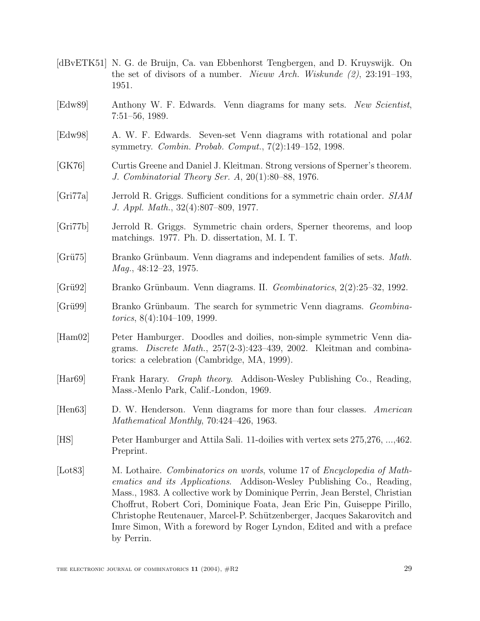- [dBvETK51] N. G. de Bruijn, Ca. van Ebbenhorst Tengbergen, and D. Kruyswijk. On the set of divisors of a number. *Nieuw Arch. Wiskunde*  $(2)$ , 23:191–193, 1951.
- [Edw89] Anthony W. F. Edwards. Venn diagrams for many sets. New Scientist, 7:51–56, 1989.
- [Edw98] A. W. F. Edwards. Seven-set Venn diagrams with rotational and polar symmetry. Combin. Probab. Comput., 7(2):149–152, 1998.
- [GK76] Curtis Greene and Daniel J. Kleitman. Strong versions of Sperner's theorem. J. Combinatorial Theory Ser. A, 20(1):80–88, 1976.
- [Gri77a] Jerrold R. Griggs. Sufficient conditions for a symmetric chain order. SIAM J. Appl. Math., 32(4):807–809, 1977.
- [Gri77b] Jerrold R. Griggs. Symmetric chain orders, Sperner theorems, and loop matchings. 1977. Ph. D. dissertation, M. I. T.
- [Grü75] Branko Grünbaum. Venn diagrams and independent families of sets. *Math.* Mag., 48:12–23, 1975.
- $|Gr\ddot{u}92|$  Branko Grünbaum. Venn diagrams. II. Geombinatorics, 2(2):25–32, 1992.
- [Grü99] Branko Grünbaum. The search for symmetric Venn diagrams. Geombinatorics, 8(4):104–109, 1999.
- [Ham02] Peter Hamburger. Doodles and doilies, non-simple symmetric Venn diagrams. Discrete Math., 257(2-3):423–439, 2002. Kleitman and combinatorics: a celebration (Cambridge, MA, 1999).
- [Har69] Frank Harary. Graph theory. Addison-Wesley Publishing Co., Reading, Mass.-Menlo Park, Calif.-London, 1969.
- [Hen63] D. W. Henderson. Venn diagrams for more than four classes. American Mathematical Monthly, 70:424–426, 1963.
- [HS] Peter Hamburger and Attila Sali. 11-doilies with vertex sets 275,276, ...,462. Preprint.
- [Lot83] M. Lothaire. Combinatorics on words, volume 17 of Encyclopedia of Mathematics and its Applications. Addison-Wesley Publishing Co., Reading, Mass., 1983. A collective work by Dominique Perrin, Jean Berstel, Christian Choffrut, Robert Cori, Dominique Foata, Jean Eric Pin, Guiseppe Pirillo, Christophe Reutenauer, Marcel-P. Schützenberger, Jacques Sakarovitch and Imre Simon, With a foreword by Roger Lyndon, Edited and with a preface by Perrin.